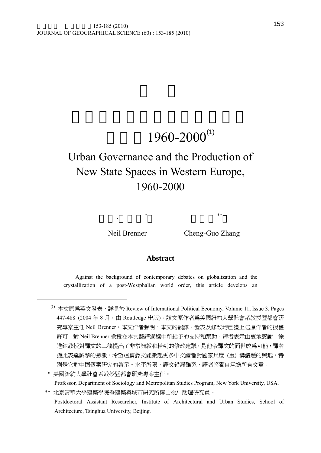# $1960 - 2000^{(1)}$

## Urban Governance and the Production of New State Spaces in Western Europe, 1960-2000

1

Neil Brenner Cheng-Guo Zhang

#### **Abstract**

 $\begin{array}{ccc} \ast & \ast & \ast\ast \end{array}$ 

Against the background of contemporary debates on globalization and the crystallization of a post-Westphalian world order, this article develops an

<sup>(1)</sup> 本文原為英文發表,詳見於 Review of International Political Economy, Volume 11, Issue 3, Pages 447-488 (2004年8月,由 Routledge 出版)。該文原作者爲美國紐約大學社會系教授暨都會研 究專案主任 Neil Brenner。本文作者聲明,本文的翻譯、發表及修改均已獲上述原作者的授權 許可。對 Neil Brenner 教授在本文翻譯過程中所給予的支持和幫助,譯者表示由衷地感謝。徐 進鈺教授對譯文的二稿提出了非常細緻和精到的修改建議,是他令譯文的面世成為可能,譯者 謹此表達誠摯的感激。希望這篇譯文能激起更多中文讀者對國家尺度 (重) 構議題的興趣,特 別是它對中國個案研究的啓示。水平所限,譯文錯漏難免,譯者將獨自承擔所有文責。

 <sup>\*</sup> 美國紐約大學社會系教授暨都會研究專案主任。 Professor, Department of Sociology and Metropolitan Studies Program, New York University, USA.

<sup>\*\*</sup> 北京清華大學建築學院暨建築與城市研究所博士後∕助理研究員。 Postdoctoral Assistant Researcher, Institute of Architectural and Urban Studies, School of Architecture, Tsinghua University, Beijing.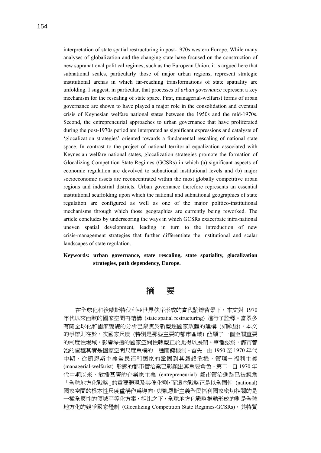interpretation of state spatial restructuring in post-1970s western Europe. While many analyses of globalization and the changing state have focused on the construction of new supranational political regimes, such as the European Union, it is argued here that subnational scales, particularly those of major urban regions, represent strategic institutional arenas in which far-reaching transformations of state spatiality are unfolding. I suggest, in particular, that processes of *urban governance* represent a key mechanism for the rescaling of state space. First, managerial-welfarist forms of urban governance are shown to have played a major role in the consolidation and eventual crisis of Keynesian welfare national states between the 1950s and the mid-1970s. Second, the entrepreneurial approaches to urban governance that have proliferated during the post-1970s period are interpreted as significant expressions and catalysts of 'glocalization strategies' oriented towards a fundamental rescaling of national state space. In contrast to the project of national territorial equalization associated with Keynesian welfare national states, glocalization strategies promote the formation of Glocalizing Competition State Regimes (GCSRs) in which (a) significant aspects of economic regulation are devolved to subnational institutional levels and (b) major socioeconomic assets are reconcentrated within the most globally competitive urban regions and industrial districts. Urban governance therefore represents an essential institutional scaffolding upon which the national and subnational geographies of state regulation are configured as well as one of the major politico-institutional mechanisms through which those geographies are currently being reworked. The article concludes by underscoring the ways in which GCSRs exacerbate intra-national uneven spatial development, leading in turn to the introduction of new crisis-management strategies that further differentiate the institutional and scalar landscapes of state regulation.

**Keywords: urban governance, state rescaling, state spatiality, glocalization strategies, path dependency, Europe.** 



在全球化和後威斯特伐利亞世界秩序形成的當代論辯背景下,本文對 1970 年代以來西歐的國家空間再結構 (state spatial restructuring) 進行了詮釋。當眾多 有關全球化和國家變貌的分析已聚焦於新型超國家政體的建構 (如歐盟),本文 的爭辯則在於,次國家尺度 (特別是那些主要的都市區域) 凸顯了一個至關重要 的制度性場域,影響深遠的國家空間性轉型正於此得以展開。筆者認為,**都市管** 治的過程其實是國家空間尺度重構的一種關鍵機制。首先,由 1950至 1970 年代 中期,從凱恩斯主義全民福利國家的鞏固到其最終危機,管理-福利主義 (managerial-welfarist) 形態的都市管治業已彰顯出其重要角色。第二,自 1970 年 代中期以來,散播甚廣的企業家主義 (entrepreneurial) 都市管治進路已被視為 「全球地方化戰略」的重要體現及其催化劑,而這些戰略正是以全國性 (national) 國家空間的根本性尺度重構作為導向。與凱恩斯主義全民福利國家密切相關的是 一種全國性的領域平等化方案,相比之下,全球地方化戰略推動形成的則是全球 地方化的競爭國家體制 (Glocalizing Competition State Regimes-GCSRs),其特質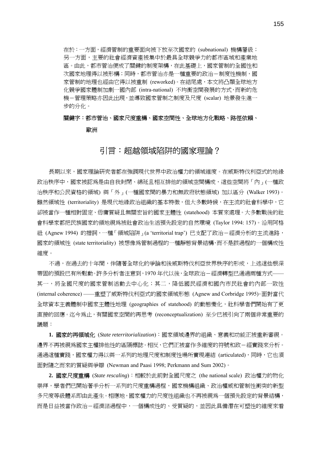在於:一方面,經濟管制的重要面向被下放至次國家的 (subnational) 機構層級; 另一方面,主要的社會經濟資產被集中於最具全球競爭力的都市區域和產業地 區。由此,都市管治便成了關鍵的制度架構,在此基礎上,國家管制的全國性和 次國家地理得以被形構;同時,都市管治亦是一種重要的政治-制度性機制,國 家管制的地理也經由它得以被重制 (reworked)。在結尾處,本文將凸顯全球地方 化競爭國家體制加劇一國內部 (intra-national) 不均衡空間發展的方式,而新的危 機-管理策略亦因此出現,並導致國家管制之制度及尺度 (scalar) 地景發生進一 步的分化。

## 關鍵字:都市管治、國家尺度重構、國家空間性、全球地方化戰略、路徑依賴、 歐洲

### 引言:超越領域陷阱的國家理論?

長期以來,國家理論研究者都在強調現代世界中政治權力的領域維度。在威斯特伐利亞式的地緣 政治秩序中,國家被認爲是由自我封閉、綿延且相互排他的領域空間構成,這些空間將「內」(一種政 治秩序和公民資格的領域) 與「外」(一種國家間的暴力和無政府狀態領域) 加以區分 (Walker 1993)。 雖然領域性 (territoriality) 是現代地緣政治組織的基本特徵,但大多數時候,在主流的社會科學中,它 卻被當作一種相對固定、毋庸質疑且無關宏旨的國家主體性 (statehood) 本質來處理。大多數戰後的社 會科學家都把民族國家的領地視為被社會政治生活預先設定的自然環境 (Taylor 1994: 157)。沿用阿格 紐 (Agnew 1994) 的措詞,一種 「領域陷阱」(a 'territorial trap') 已支配了政治-經濟分析的主流進路, 國家的領域性 (state territoriality) 被想像為管制過程的一種靜態背景結構,而不是該過程的一個構成性 維度。

不過,在過去的十年間,伴隨著全球化的爭論和後威斯特伐利亞世界秩序的形成,上述這些根深 蒂固的預設已有所鬆動。許多分析者注意到,1970 年代以後,全球政治-經濟轉型已通過兩種方式—— 其一,將全國尺度的國家管制活動去中心化;其二,降低國民經濟和國內市民社會的內部一致性 (internal coherence) ——重塑了威斯特伐利亞式的國家領域形態 (Agnew and Corbridge 1995)。面對當代 全球資本主義體制中國家主體性地理 (geographies of statehood) 的動態變化,社科學者們開始有了更 直接的回應。迄今為止,有關國家空間的再思考 (reconceptualization) 至少已被引向了兩個非常重要的 議題:

**1.** 國家的再領域化 (*State reterritorialization*):國家領域邊界的組織、意義和功能正被重新審視。 邊界不再被視爲國家主權排他性的區隔標誌。相反,它們正被當作多維度的符號和政-經實踐來分析。 通過這種實踐,國家權力得以與一系列的地理尺度和制度性場所實現連結 (articulated),同時,它也須 面對隨之而來的質疑與爭辯 (Newman and Paasi 1998; Perkmann and Sum 2002)。

**2.** 國家尺度重構 (*State rescaling*):相較於此前對全國尺度之 (the national scale) 政治權力的物化 崇拜,學者們已開始著手分析一系列的尺度重構過程,國家機構組織、政治權威和管制性衝突的新型 多尺度等級體系即由此產生。相應地,國家權力的尺度性組織也不再被視為一個預先設定的背景結構, 而是日益被當作政治-經濟諸過程中,一個構成性的、受質疑的,並因此具備潛在可塑性的維度來看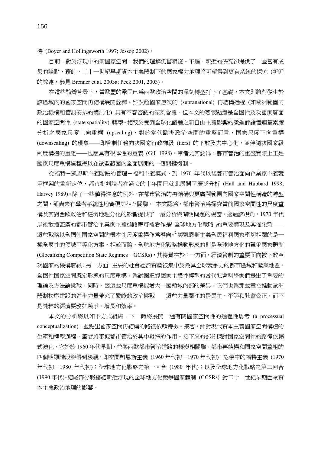待 (Boyer and Hollingsworth 1997; Jessop 2002)。

目前,對於浮現中的新國家空間,我們的理解仍舊粗淺。不過,新近的研究卻提供了一些富有成 果的論點,藉此,二十一世紀早期資本主義體制下的國家權力地理將可望得到更有系統的探究 (新近 的綜述,參見 Brenner et al*.* 2003a; Peck 2001, 2003)。

在這些論辯背景下,當歐盟的鞏固已為西歐政治空間的深刻轉型打下了基礎,本文則將對發生於 該區域內的國家空間再結構展開詮釋。雖然超國家層次的 (supranational) 再結構過程 (如歐洲範圍內 政治機構和管制安排的體制化) 具有不容否認的深刻含義,但本文的著眼點還是全國性及次國家層面 的國家空間性 (state spatiality) 轉型。相較於受到全球化議題之新自由主義影響的激進評論者連篇累牘 分析之國家尺度上向重構 (upscaling),對於當代歐洲政治空間的重整而言,國家尺度下向重構 (downscaling) 的現象——即管制任務向次國家行政梯級 (tiers) 的下放及去中心化,並伴隨次國家級 制度構造的重組——也應具有根本性的意義 (Gill 1998)。筆者尤其認為,**都市管治**的重整實際上正是 國家尺度重構過程得以在歐盟範圍內全面展開的一個關鍵機制。

從福特-凱恩斯主義階段的管理-福利主義模式,到 1970 年代以後都市管治面向企業家主義競 爭框架的重新定位,都市批判論者在過去的十年間已就此展開了廣泛分析 (Hall and Hubbard 1998; Harvey 1989)。除了一些值得注意的例外,在都市管治的再結構與更廣闊範圍內國家空間性構造的轉型 之間,卻尙未有學者系統性地審視其相互關聯。」本文認爲,都市管治爲探究當前國家空間性的尺度重 構及其對西歐政治和經濟地理分化的影響提供了一扇分析與闡明問題的視窗。透過該視角,1970 年代 以後散播甚廣的都市管治企業家主義進路應可被看作是「全球地方化戰略」的重要體現及其催化劑—— 這些戰略以全國性國家空間的根本性尺度重構作爲導向。<sup>2</sup> 與凱恩斯主義全民福利國家密切相關的是一 種全國性的領域平等化方案,相較而論,全球地方化戰略推動形成的則是全球地方化的競爭國家體制 (Glocalizing Competition State Regimes-GCSRs),其特質在於:一方面,經濟管制的重要面向被下放至 次國家的機構層級;另一方面,主要的社會經濟資產被集中於最具全球競爭力的都市區域和產業地區。 全國性國家空間既定形熊的尺度重構,爲試圖把握國家主體性轉型的當代社會科學家們提出了重要的 理論及方法論挑戰。同時,因這些尺度重構能增大一國領域內部的差異,它們也為那些意在推動歐洲 體制秩序建設的進步力量帶來了嚴峻的政治挑戰——這些力量關注的是民主、平等和社會公正,而不 是純粹的經濟要務如競爭、增長和效率。

本文的分析將以如下方式組織:下一節將展開一種有關國家空間性的過程性思考 (a processual conceptualization),並點出國家空間再結構的路徑依賴特徵。接著,針對現代資本主義國家空間構造的 生產和轉型過程,筆者將審視都市管治於其中發揮的作用。接下來的部分探討國家空間性的路徑依賴 式演化,它始於 1960 年代早期,並與西歐都市管治進路的轉變相關聯。都市再結構和國家空間重組的 四個明顯階段將得到檢視,即空間凱恩斯主義 (1960 年代初-1970 年代初);危機中的福特主義 (1970 年代初-1980 年代初);全球地方化戰略之第一回合 (1980 年代);以及全球地方化戰略之第二回合 (1990 年代)。結尾部分將總結新近浮現的全球地方化競爭國家體制 (GCSRs) 對二十一世紀早期西歐資 本主義政治地理的影響。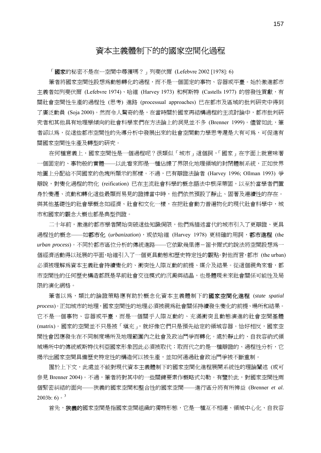## 資本主義體制下的的國家空間化過程

「**國家**的秘密不是在…空間中尋獲嗎?」列斐伏爾 (Lefebvre 2002 [1978]: 6)

筆者將國家空間性設想為動態轉化的過程,而不是一個固定的事物、容器或平臺。始於激進都市 主義者如列斐伏爾 (Lefebvre 1974)、哈維 (Harvey 1973) 和柯斯特 (Castells 1977) 的啟發性貢獻,有 關社會空間性生產的過程性 (思考) 進路 (processual approaches) 已在都市及區域的批判研究中得到 了廣泛動員 (Soja 2000)。然而令人驚奇的是,在當時關於國家再結構過程的主流討論中,都市批判硏 究者和其他具有地理學傾向的社會科學家們在方法論上的洞見並不多 (Brenner 1999)。儘管如此, 筆 者卻以為,從這些都市空間性的先導分析中發展出來的社會空間動力學思考還是大有可為,可促進有 關國家空間性生產及轉型的研究。

在何種意義上,國家空間性是一個過程呢?很類似「城市」這個詞,「國家」在字面上就意味著 一個固定的、事物般的實體——以此看來即是一種佔據了界限化地理領域的封閉體制系統,正如世界 地圖上分配給不同國家的色塊所顯示的那樣。不過,已有辯證法論者 (Harvey 1996; Ollman 1993) 爭 辯說,對變化過程的物化 (reification) 已在主流社會科學的概念語法中根深蒂固,以至於當學者們置 身於變遷、流動和轉化這些最顯而易見的證據當中時,他們依然預設了靜止、固著及連續性的存在。 與其他基礎性的社會學概念如經濟、社會和文化一樣,在把社會動力普遍物化的現代社會科學中,城 市和國家的觀念大概也都是典型例證。

二十年前,激進的都市學者開始突破這些知識侷限,他們爲描述當代的城市引入了更辯證、更具 過程性的概念——如**都市化** (urbanization), 或依哈維 (Harvey 1978) 更精確的用詞, 都市進程 (the *urban process*)。不同於都市區位分析的傳統進路——它依歐幾里德-笛卡爾式的說法將空間設想為一 個經濟活動得以延展的平面,哈維引入了一個更具動態和歷史特定性的觀點。對他而言,都市 (the urban) 必須被理解為資本主義社會持續變化的、衝突性人際互動的前提、媒介及結果。從這個視角來看,都 市空間性的任何歷史構造都既是早前社會交往模式的沉澱與結晶,也是體現未來社會關係可能性及局 限的演化網格。

筆者以為,類比的論證策略應有助於概念化資本主義體制下的國家空間化進程 (*state spatial process*)。正如城市的地理,國家空間性的地理必須被視為社會關係持續發生變化的前提、場所和結果。 它不是一個事物、容器或平臺,而是一個關乎人際互動的、充滿衝突且動態演進的社會空間基體 (matrix)。國家的空間並不只是被「填充」,就好像它們只是預先給定的領域容器。恰好相反,國家空 間性會因應發生在不同制度場所及地理範圍內之社會及政治鬥爭而轉化。處於靜止的、自我容納式領 域場所中的傳統威斯特伐利亞國家形象因此必須被取代;取而代之的是一種辯證的、過程性分析,它 揭示出國家空間具備歷史特定性的構造何以被生產,並如何通過社會政治鬥爭被不斷重制。

囿於上下文,此處並不能對現代資本主義體制下的國家空間化進程展開系統性的理論闡述 (或可 參見 Brenner 2004)。不過,筆者將對其中的一些關鍵要素作槪略式勾勒。有鑒於此,對國家空間性兩 個緊密糾結的面向——狹義的國家空間和整合性的國家空間——進行區分將有所裨益 (Brenner *et al*. 2003b: 6)  $\cdot$  <sup>3</sup>

首先,**狹義的**國家空間是指國家空間組織的獨特形熊,它是一種互不相連、領域中心化、自我容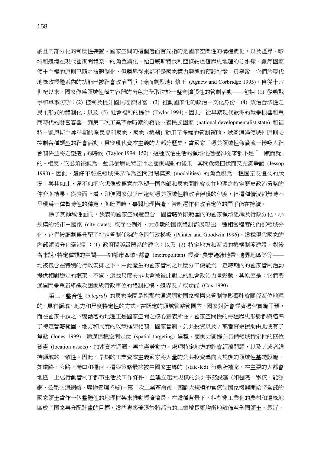納且內部分化的制度性裝置。國家空間的這個層面首先指的是國家空間性的構造變化,以及疆界、畛 域和邊境在現代國家間體系中的角色演化。始自威斯特伐利亞條約這個歷史地理的分水嶺,雖然國家 領土主權的原則已隨之被體制化,但疆界從來都不是國家權力靜態的預設特徵。毋寧說,它們於現代 地緣政經體系內的功能已被社會政治鬥爭 (時而劇烈地) 修正 (Agnew and Corbridge 1995)。自從十六 世紀以來,國家作為領域性權力容器的角色完全取決於一整套擴張性的管制活動——包括 (1) 發動戰 爭和軍事防禦;(2) 控制及提升國民經濟財富;(3) 推動國家化的政治-文化身份;(4) 政治合法性之 民主形式的體制化;以及 (5) 社會福利的提供 (Taylor 1994)。因此,從早期現代歐洲的戰爭機器和重 商時代的財富容器,到第二次工業革命時期的發展主義民族國家 (national developmentalist state) 和福 特-凱恩斯主義時期的全民福利國家,國家 (機器) 動用了多樣的管制策略,試圖通過領域性原則去 控制各種類型的社會活動。貫穿現代資本主義的大部分歷史,當國家「憑其領域性像渦流一樣吸入社 會關係並將之塑造 」的時候 (Taylor 1994: 152),這種政治生活的領域化過程卻從來都不是 「 一蹴而就 」 的。相反,它必須被視為一些具備歷史特定性之國家規劃的後果,其間危機四伏而又充滿爭議 (Jessop 1990)。因此,最好不要把領域疆界作為空間封閉模態 (modalities) 的角色視為一種固定及恒久的狀 況。與其如此,還不如把它想像成爲意在型塑一國內部和國家間社會交往地理之特定歷史政治策略的 仲介與結果。從表面上看,即便國家似乎已達到憑其領域性將政治俘獲的程度,但這種情況卻無時不 呈現為一種暫時性的穩定,與此同時,事關地理構造、管制運作和政治定位的鬥爭仍在持續。

除了其領域性面向,狹義的國家空間還包含一國管轄界限範圍內的國家領域組織及行政分化。小 規模的城市-國家 (city-states) 或存在例外,大多數的國家體制都展現出一種相當程度的內部領域分 化,它們被細劃為分配了特定管制任務的多個行政梯級 (Painter and Goodwin 1996)。這種現代國家的 內部領域分化牽涉到:(1) 政府間等級體系的建立;以及 (2) 特定地方和區域的機構制度建設。對後 者來說,特定種類的空間——如都市區域、都會 (metropolitan) 經濟、農業邊緣地帶、邊界地區等等—— 均被包含在特別的行政安排之下。由此產生的國家管制之尺度分工便能為一定時期內的國家管制活動 提供相對穩定的框架。不過,這些尺度安排也會被彼此對立的社會政治力量鬆動,其原因是:它們要 通過鬥爭重新組織次國家級行政單位的體制結構、邊界及∕或功能 (Cox 1990)。

第二,整合性 (*integral*) 的國家空間是指那些通過調動國家機構來管制並影響社會關係區位地理 的,具有領域、地方和尺度特定性的方式。在既定的領域管轄範圍內,國家對社會經濟過程實施干預, 而在國家干預之下變動著的地理正是國家空間之核心意義所在。國家空間性的每種歷史形態都與瞄準 了特定管轄範圍、地方和尺度的政策框架相關,國家管制、公共投資以及∕或者資金援助由此便有了 焦點 (Jones 1999)。通過這種空間定位 (spatial targeting) 過程,國家力圖提升具備領域特定性的區位 資產 (location assets)、加速資本迴圈、再生產勞動力、處理特定地方的社會經濟問題,以及 / 或者維 持領域的一致性。因此,早期的工業資本主義國家將大量的公共投資導向大規模的領域性基礎設施, 如鐵路、公路、港口和運河。這些策略最終被由國家主導的 (state-led) 行動所補充,在主要的大都會 地區,上述行動管制了都市生活及工作條件,並建立起大規模的公共事務設施 (如醫院、學校、能源 網、公眾交通網絡、廢物管理系統)。第二次工業革命後,西歐大規模的官僚制國家機器開始將全部的 國家領土當作一個整體性的地理框架來推動經濟增長。在這種背景下,相對非工業化的農村和邊緣地 區成了國家再分配計畫的目標,這些專案著眼於將都市的工業增長更均衡地散佈至全國領土。最近,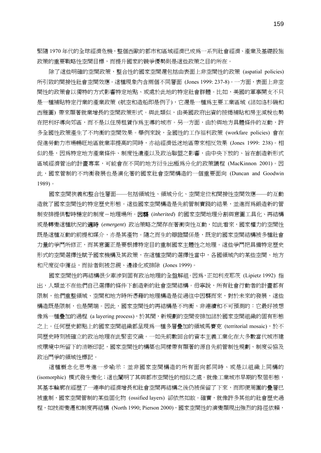緊隨 1970 年代的全球經濟危機,整個西歐的都市和區域經濟已成為一系列社會經濟、產業及基礎設施 政策的重要戰略性空間目標,而提升國家的競爭優勢則是這些政策之目的所在。

除了這些明確的空間政策,整合性的國家空間還包括由表面上非空間性的政策 (aspatial policies) 所引致的間接性社會空間效應。這種現象內含兩個不同層面 (Jones 1999: 237-8)。一方面,表面上非空 間性的政策會以獨特的方式影響特定地點、或處於此地的特定社會群體。比如,美國的軍事開支不只 是一種補貼特定行業的產業政策 (航空和造船即是例子),它還是一種為主要工業區域 (諸如洛杉磯和 西雅圖) 帶來顯著就業增長的空間政策形式。與此類似,由美國政府出資的按揭補貼和房主減稅也勢 在把利好導向郊區,而不是以住房租賃作為主導的城市。另一方面,由於與地方具體條件的互動,許 多全國性政策產生了不均衡的空間效果。舉例來說,全國性的工作福利政策 (workfare policies) 會在 促進勞動力市場暢旺地區就業率提高的同時,亦給經濟低迷地區帶來相反效果 (Jones 1999: 238)。相 似的是,因為特定地方產業條件、制度性遺產以及政治聯盟之影響,由中央下放的、旨在創造新形式 區域經濟管治的計畫專案,可能會在不同的地方衍生出極為分化的政策議程 (MacKinnon 2001)。因 此,國家管制的不均衡發展也是演化著的國家社會空間構造的一個重要面向 (Duncan and Goodwin 1989)。

國家空間狹義和整合性層面——包括領域性、領域分化、空間定位和間接性空間效應——的互動 造就了國家空間性的特定歷史形態。這些國家空間構造是先前管制實踐的結果,並進而爲鍛造新的管 制安排提供暫時穩定的制度-地理場所。因襲 (*inherited*) 的國家空間地理分割與意圖工具化、再結構 或是轉變這種狀況的適時 (*emergent*) 政治策略之間存在著衝突性互動,如此看來,國家權力的空間性 既是這種互動的前提和媒介,亦是其產物。隨之而生的辯證關係是,既定的國家空間結構被多種社會 力量的爭鬥所修正,而其意圖正是要根據特定目的重制國家主體性之地理。這些爭鬥把具備特定歷史 形式的空間選擇性賦予國家機構及其政策,在這種空間的選擇性當中,各國領域內的某些空間、地方 和尺度從中獲益,而餘者則被忽視、邊緣化或排除 (Jones 1999)。

國家空間性的再結構很少牽涉到固有政治地理的全盤解組。因為,正如利皮耶茨 (Lipietz 1992) 指 出,人類並不在他們自己選擇的條件下創造新的社會空間結構。毋寧說,所有社會行動者的計畫都有 限制,他們重整領域、空間和地方時所憑藉的地理構造是從過往中因襲而來,對於未來的發展,這些 構造既是限制,也是開端。因此,國家空間性的再結構是不均衡、非連續和不可預測的:它最好被想 像爲一種疊加的過程 (a layering process),於其間,新規劃的空間安排加諸於國家空間組織的固有形態 之上。任何歷史節點上的國家空間組織都呈現為一種多層疊加的領域馬賽克 (territorial mosaic),於不 同歷史時刻被確立的政治地理在此緊密交織。一如先前數回合的資本主義工業化在大多數當代城市建 成環境中所留下的清晰印記,國家空間性的構築也同樣帶有顯著的源自先前管制性規劃、制度妥協及 政治鬥爭的領域性標記。

這種概念化思考進一步喻示:並非國家空間構造的所有面向都同時、或是以組織上同構的 (isomorphic) 模式發生變化;這也闡明了其與都市空間性的相似之處。就像工業城市早期的聚居形態, 其基本輪廓在經歷了一連串的經濟增長和社會空間再結構之後仍被保留了下來,而即便周圍的疊層已 被重制,國家空間管制的某些固化物 (ossified layers) 卻依然如故。確實,就像許多其他的社會歷史過 程,如技術變遷和制度再結構 (North 1990; Pierson 2000),國家空間性的演變顯現出強烈的路徑依賴,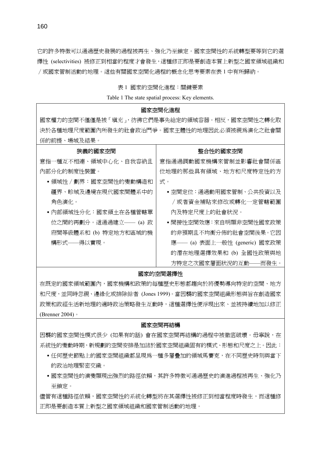它的許多特徵可以通過歷史發展的過程被再生、強化乃至鎖定。國家空間性的系統轉型要等到它的選 擇性 (selectivities) 被修正到相當的程度才會發生,這種修正即是要創造本質上新型之國家領域組織和 ∕或國家管制活動的地理。這些有關國家空間化過程的概念化思考要素在表 1 中有所歸納。

#### 表 1 國家的空間化進程:關鍵要素

Table 1 The state spatial process: Key elements.

#### 國家空間化進程

國家權力的空間不僅僅是被「填充」,彷彿它們是事先給定的領域容器。相反,國家空間性之轉化取 決於各種地理尺度範圍內所發生的社會政治鬥爭。國家主體性的地理因此必須被視為演化之社會關 係的前提、場域及結果。

| 狹義的國家空間                | 整合性的國家空間                       |
|------------------------|--------------------------------|
| 意指一種互不相連、領域中心化、自我容納且   | 意指涌渦調動國家機構來管制並影響社會關係區          |
| 內部分化的制度性裝置。            | 位地理的那些具有領域、地方和尺度特定性的方          |
| • 領域性 / 劃界:國家空間性的變動構浩和 | 式。                             |
| 疆界、畛域及邊境在現代國家間體系中的     | • 空間定位:涌過動用國家管制、公共投資以及         |
| 角色演化。                  | /或者資金補貼來修改或轉化一定管轄範圍            |
| • 內部領域性分化:國家領土在各種管轄單   | 內及特定尺度上的社會狀況。                  |
| 位之間的再劃分。這涌過建立—— (a) 政  | •間接性空間效應:來白明顯非空間性國家政策          |
| 府間等級體系和 (b) 特定地方和區域的機  | 的非預期且不均衡分佈的社會空間後果。它因           |
| 構形式——得以實現。             | 應 -- (a) 表面上一般性 (generic) 國家政策 |
|                        | 的潛在地理選擇效果和 (b) 全國性政策與地         |
|                        | 方特定之次國家層面狀況的互動——而發生。           |

#### 國家的空間選擇性

在既定的國家領域範圍內,國家機構和政策的每種歷史形態都趨向於將優勢導向特定的空間、地方 和尺度,並同時忽視、邊緣化或排除餘者 (Jones 1999)。當因襲的國家空間組織形態與旨在創造國家 政策和政經生活新地理的適時政治策略發生互動時,這種選擇性便浮現出來、並被持續地加以修正 (Brenner 2004)。

#### 國家空間再結構

因襲的國家空間性模式很少 (如果有的話) 會在國家空間再結構的過程中被徹底破壞。毋寧說,在 系統性的變動時期,新規劃的空間安排是加諸於國家空間組織固有的模式、形態和尺度之上。因此:

- •任何歷史節點上的國家空間組織都呈現為一種多層疊加的領域馬賽克,在不同歷史時刻與當下 的政治地理緊密交織。
- •國家空間性的演變顯現出強烈的路徑依賴,其許多特徵可通過歷史的演進過程被再生、強化乃 至鎖定。

儘管有這種路徑依賴,國家空間性的系統化轉型將在其選擇性被修正到相當程度時發生,而這種修 正即是要創造本質上新型之國家領域組織和國家管制活動的地理。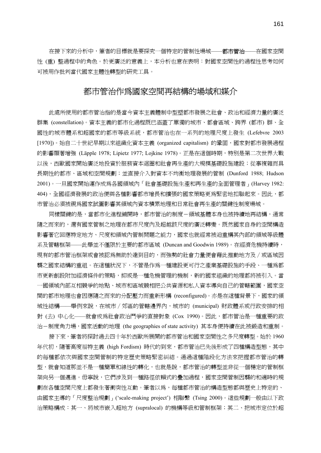在接下來的分析中,筆者的目標就是要探究一個特定的管制性場域——**都市管治**——在國家空間 性 (重) 整過程中的角色。於更廣泛的意義上,本分析也意在表明:對國家空間性的過程性思考如何 可被用作批判當代國家主體性轉型的研究工具。

## 都市管治作為國家空間再結構的場域和媒介

此處所使用的都市管治指的是當今資本主義體制中型塑都市發展之社會、政治和經濟力量的廣泛 群集 (constellation)。資本主義的都市化過程既已涵蓋了單獨的城市、都會區域、跨界 (都市) 群、全 國性的城市體系和超國家的都市等級系統,都市管治也在一系列的地理尺度上發生 (Lefebvre 2003 [1970])。始自二十世紀早期以來組織化資本主義 (organized capitalism) 的鞏固,國家對都市發展過程 的影響顯著增強 (Läpple 1978; Lipietz 1977; Lojkine 1978)。正是在這個時期,特別是第二次世界大戰 以後,西歐國家開始廣泛地投資於服務資本迴圈和社會再生產的大規模基礎設施建設;從事複雜而具 長期性的都市、區域和空間規劃;並直接介入對資本不均衡地理發展的管制 (Dunford 1988; Hudson 2001)。一旦國家開始運作成為各國領域內「社會基礎設施生產和再生產的全面管理者」(Harvey 1982: 404),全國經濟發展的政治便與各種影響都市增長和擴張的國家策略更為緊密地扣聯起來。因此,都 市管治必須被視為國家試圖影響其領域內資本積累地理和日常社會再生產的關鍵性制度場域。

同樣關鍵的是,當都市化進程鋪開時,都市管治的制度-領域基體本身也被持續地再結構,通常 隨之而來的,還有國家管制之地理在都市尺度內及超越該尺度的廣泛轉變。既然國家自身的空間構造 影響著它回應特定地方、尺度和領域內管制問題之能力,國家也就經常被迫重構其內部的領域等級體 系及管轄框架——此舉並不僅限於主要的都市區域 (Duncan and Goodwin 1989)。在經濟危機持續時, 現有的都市管治框架或會被認為無助於達到目的,而強勢的社會力量便會藉此推動地方及∕或區域因 襲之國家結構的重組。在這種狀況下,不管是作為一種建設更可行之產業基礎設施的手段、一種為都 市更新創設附加經濟條件的策略,抑或是一種危機管理的機制,新的國家組織的地理都將被引入。當 一國領域內部互相競爭的地點、城市和區域競相把公共資源和私人資本導向自己的管轄範圍,國家空 間的都市地理也會因應隨之而來的分配壓力而重新形構 (reconfigured)。亦是在這種背景下,國家的領 域性結構——舉例來說,在城市∕郊區的管轄邊界內,城市的 (municipal) 財政體系或行政安排的相 對 (去) 中心化——就會成為社會政治鬥爭的直接對象 (Cox 1990)。因此,都市管治是一種重要的政 治-制度角力場,國家活動的地理 (the geographies of state activity) 其本身便持續在此被鍛造和重制。

接下來,筆者將探討過去四十年於西歐所展開的都市管治和國家空間性之多尺度轉型。始於 1960 年代初,隨著高度福特主義 (high Fordism) 時代的到來,都市管治已先後形成了四種構造型態,其中 的每種都依次與國家空間管制的特定歷史策略緊密糾結。通過這種階段化方法來把握都市管治的轉 型,就會知道那並不是一種簡單和線性的轉化,也就是說,都市管治的轉型並非從一個穩定的管制框 架向另一個邁進。毋寧說,它們涉及到一種路徑依賴式的疊加過程,國家空間管制因襲的和適時的規 劃在各種空間尺度上都發生著衝突性互動。筆者以為,每種都市管治的構造型態都與歷史上特定的、 由國家主導的「尺度整治規劃」('scale-making project') 相聯繫 (Tsing 2000)。這些規劃一般由以下政 治策略構成:其一、將城市嵌入超地方 (supralocal) 的機構等級和管制框架;其二、把城市定位於超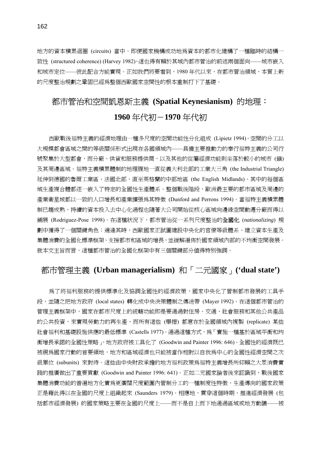地方的資本積累迴圈 (circuits) 當中。即便國家機構成功地為資本的都市化建構了一種臨時的結構一 致性 (structured coherence) (Harvey 1982),這也得有賴於其域內都市管治的前述兩個面向——城市嵌入 和城市定位——彼此配合方能實現。正如我們將要看到,1980 年代以來,在都市管治領域,本質上新 的尺度整治規劃之鞏固已經為整個西歐國家空間性的根本重制打下了基礎。

## 都市管治和空間凱恩斯主義 **(Spatial Keynesianism)** 的地理: **1960** 年代初-**1970** 年代初

西歐戰後福特主義的經濟地理由一種多尺度的空間功能性分化組成 (Lipietz 1994)。空間的分工以 大規模都會區域之間的等級關係形式出現在各國領域內——具備主要推動力的奉行福特主義的公司行 號聚集於大型都會,而分廠、供貨和服務提供商,以及其他的從屬經濟功能則坐落於較小的城市 (鎭) 及其周邊區域。福特主義積累體制的地理腹地一直從義大利北部的工業大三角 (the Industrial Triangle) 延伸到德國的魯爾工業區、法國北部、直至英格蘭的中部地區 (the English Midlands)。其中的每個區 域生產複合體都逐一嵌入了特定的全國性生產體系。整個戰後階段,歐洲最主要的都市區域及周邊的 產業衛星城都以一致的人口增長和產業擴張為其特徵 (Dunford and Perrons 1994)。當福特主義積累體 制已趨成熟,持續的資本投入去中心化過程也隨著大公司開始從核心區域向邊緣空間動遷分廠而得以 鋪展 (Rodriguez-Pose 1998)。在這種狀況下,都市管治從一系列尺度整治的全國化 (*nationalizing*) 規 劃中獲得了一個關鍵角色;適逢其時,西歐國家正試圖建設中央化的官僚等級體系、建立資本生產及 集體消費的全國化標準框架、支援都市和區域的增長,並緩解遍佈於國家領域內部的不均衡空間發展。 就本文主旨而言,這種都市管治的全國化框架中有三個關鍵部分值得特別強調。

## 都市管理主義 **(Urban managerialism)** 和「二元國家」**('dual state')**

為了將福利服務的提供標準化及協調全國性的經濟政策,國家中央化了管制都市發展的工具手 段,並隨之把地方政府 (local states) 轉化成中央決策體制之傳送帶 (Mayer 1992)。在這個都市管治的 管理主義框架中,國家在都市尺度上的統轄功能即是要通過對住房、交通、社會服務和其他公共產品 的公共投資,來實現勞動力的再生產,而所有這些 (舉措) 都意在於全國領域內複製 (replicate) 某些 社會福利和基礎設施供應的最低標準 (Castells 1977)。通過這種方式,為「實施一種基於區域平衡和均 衡增長承諾的全國性策略」,地方政府被工具化了 (Goodwin and Painter 1996: 646)。全國性的經濟既已 被視為國家行動的首要領地,地方和區域經濟也只能被當作相對以自我為中心的全國性經濟空間之次 級單位 (subunits) 來對待。這些由中央財政承擔的地方福利政策為福特主義增長所仰賴之大眾消費實 踐的推廣做出了重要貢獻 (Goodwin and Painter 1996: 641)。正如二元國家論者後來認識到,戰後國家 集體消費功能的普遍地方化實爲更廣闊尺度範圍內管制分工的一種制度性特徵,生產導向的國家政策 正是藉此得以在全國的尺度上組織起來 (Saunders 1979)。相應地,貫穿這個時期,推進經濟發展 (包 括都市經濟發展) 的國家策略主要在全國的尺度上——而不是自上而下地通過區域或地方動議——被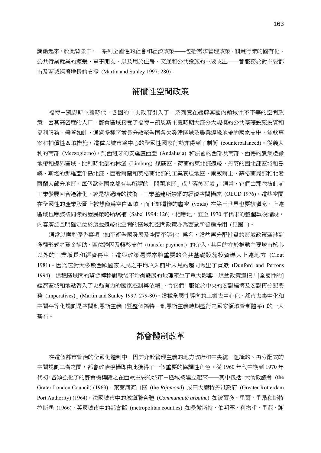調動起來。於此背景中,一系列全國性的社會和經濟政策——包括需求管理政策、關鍵行業的國有化、 公共行業就業的擴張、軍事開支,以及用於住房、交通和公共設施的主要支出——都服務於對主要都 市及區域經濟增長的支援 (Martin and Sunley 1997: 280)。

## 補償性空間政策

福特-凱恩斯主義時代,各國的中央政府引入了一系列意在緩解其國內領域性不平等的空間政 策。因其高密度的人口,都會區域接受了福特-凱恩斯主義時期大部分大規模的公共基礎設施投資和 福利服務。儘管如此,通過多種將增長分散至全國各欠發達區域及農業邊緣地帶的國家支出、貸款專 案和補償性區域措施,這種以城市為中心的全國性國家行動亦得到了制衡 (counterbalanced)。從義大 利的南部 (Mezzogiorno),到西班牙的安達盧西亞 (Andalusia) 和法國的西部及南部、西德的農業邊緣 地帶和邊界區域、比利時北部的林堡 (Limburg) 煤礦區、荷蘭的東北部邊緣、丹麥的西北部區域和島 嶼、斯堪的那維亞半島北部、西愛爾蘭和英格蘭北部的工業衰退地區、南威爾士、蘇格蘭局部和北愛 爾蘭大部分地區,每個歐洲國家都有其所謂的「問題地區」或「落後區域」; 通常,它們由那些被此前 工業發展回合邊緣化,或是被過時的技術-工業基建所禁錮的經濟空間構成 (OECD 1976)。這些空間 在全國性的產業版圖上被想像為空白區域,而正如這樣的虛空 (voids) 在第三世界也要被填充,上述 區域也應該被同樣的發展策略所填補 (Sabel 1994: 126)。相應地,直至 1970 年代末的整個戰後階段, 內容廣泛且明確定位於這些邊緣化空間的區域和空間政策亦為西歐所普遍採用 (見圖 1)。

通常以應對優先事項 (如平衡全國發展及空間平等化) 為名,這些再分配性質的區域政策牽涉到 多種形式之資金補助、區位誘因及轉移支付 (transfer payment) 的介入,其目的在於推動主要城市核心 以外的工業增長和經濟再生;這些政策還經常將重要的公共基礎設施投資導入上述地方 (Clout 1981)。因為它對大多數西歐國家人民之平均收入前所未見的趨同做出了貢獻 (Dunford and Perrons 1994),這種區域間的資源轉移對戰後不均衡發展的地理產生了重大影響。這些政策還把「[全國性的] 經濟區域和地點帶入了更強有力的國家控制與依賴」,令它們「服從於中央的宏觀經濟及宏觀再分配要 務 (imperatives)」(Martin and Sunley 1997: 279-80)。這種全國性導向的工業去中心化、都市去集中化和 空間平等化規劃是空間凱恩斯主義 (暨整個福特-凱恩斯主義時期盛行之國家領域管制體系) 的一大 基石。

## 都會體制改革

在這個都市管治的全國化體制中,因其介於管理主義的地方政府和中央統一組織的、再分配式的 空間規劃二者之間,都會政治機構即由此獲得了一個重要的協調性角色。從 1960 年代中期到 1970 年 代初,各類強化了的都會機構隨之在西歐主要的城市-區域被建立起來——其中包括,大倫敦議會 (the Grater London Council) (1963),萊茵河河口區 (the *Rijnmond*) 或曰大鹿特丹港政府 (Greater Rotterdam Port Authority) (1964),法國城市中的城鎮聯合體 (*Communauté urbaine*) 如波爾多、里爾、里昂和斯特 拉斯堡 (1966),英國城市中的都會郡 (metropolitan counties) 如曼徹斯特、伯明罕、利物浦、里茲、謝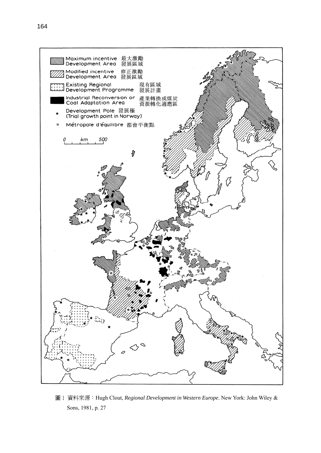

圖 1 資料來源: Hugh Clout, *Regional Development in Western Europe*. New York: John Wiley & Sons, 1981, p. 27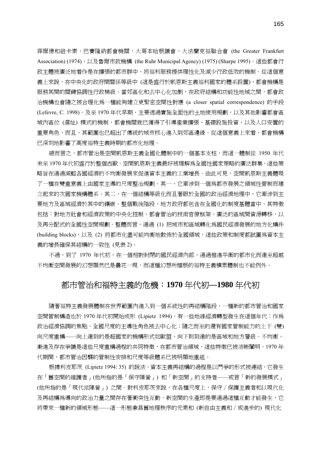菲爾德和紐卡素,巴賽隆納都會機關,大哥本哈根議會,大法蘭克福聯合會 (the Greater Frankfurt Association) (1974),以及魯爾市政機構 (the Ruhr Municipal Agency) (1975) (Sharpe 1995)。這些都會行 政主體被廣泛地看作是在擴張的都市群中,將福利服務提供理性化及減少行政低效的機制。從這個意 義上來說,在中央化的政府間關係等級中 (這是盛行於凱恩斯主義福利國家的體系設置),都會機構是 服務其間的關鍵協調性行政梯級。當郊區化和去中心化加劇,在政府結構和功能性地域之間,都會政 治機構也會隨之被合理化為一種能夠建立更緊密空間性對應 (a closer spatial correspondence) 的手段 (Lefevre, C. 1998)。及至 1970 年代早期,主要透過實施全面性的土地使用規劃,以及其他影響都會區 域內區位 (選址) 模式的機制,都會機關就已獲得了引導產業擴張、基礎設施投資,以及人口安置的 重要角色,而且,其範圍也已超出了傳統的城市核心進入到郊區邊緣。從這個意義上來看,都會機構 已深刻地影響了高度福特主義時期的都市化地理。

總而言之,都市管治是空間凱恩斯主義全國化體制中的一個基本支柱,而這一體制從 1950 年代 末至 1970 年代初盛行於整個西歐。空間凱恩斯主義最好被理解為全國性國家策略的廣泛群集,這些策 略旨在通過減輕各國經濟的不均衡發展來促進資本主義的工業增長。由此可見,空間凱恩斯主義體現 了一種在雙重意義上由國家主導的尺度整治規劃。其一,它牽涉到一個為都市發展之領域性管制而建 立起來的次國家機構體系。其二,在一個結構等級化而且著眼於全國的政治經濟地理中,它牽涉到主 要地方及區域經濟於其中的鑲嵌。整個戰後階段,地方政府都包含在全國化的制度基體當中,其特徵 包括:對地方社會和經濟政策的中央化控制、都會管治的技術官僚框架、廣泛的區域間資源轉移,以 及再分配式的全國性空間規劃。整體而言,通過 (1) 把城市和區域轉化為國民經濟發展的地方化構件 (building blocks),以及 (2) 將都市化盡可能均衡地散佈於全國領域,這些政策和制度都試圖爲資本主 義的增長確保其結構的一致性 (見表 2)。

不過,到了 1970 年代初,在一個相對封閉的國民經濟內部,通過推進平衡的都市化而達至超越 不均衡空間發展的幻想顯然已是曇花一現,而這種幻想所植根的福特主義積累體制也不能例外。

### 都市管治和福特主義的危機:**1970** 年代初**—1980** 年代初

隨著福特主義發展體制在世界範圍內進入到一個系統性的再結構階段,一種新的都市管治和國家 空間管制構造也於 1970 年代初開始成形 (Lipietz 1994)。有一些地緣經濟轉型發生在這個年代:作為 政治經濟協調的焦點,全國尺度的主導性角色被去中心化;隨之而至的還有國家管制能力的上下(雙) 向尺度重構——向上達到的是超國家的機構形式如歐盟,向下則到達的是區域和地方層級。不均衡、 漸進及存在爭議是這些尺度重構過程的共同特徵,在都市管治領域,這些特徵已被清晰闡明。1970 年 代期間,都市管治因襲的管制性安排和尺度等級體系已被明顯地重組。

根據利皮耶茨 (Lipietz 1994: 35) 的說法,資本主義再結構的過程是以鬥爭的形式被連結,它發生 在「舊空間的維護者」(他所指的是「保守陣營」) 和「新空間」的支持者——或言「新的發展模式」 (他所指的是「現代派陣營」) 之間。對利皮耶茨來說,在各種尺度上,保守∕保護主義者和以現代化 及再結構爲導向的政治力量之間存在著衝突性互動,新空間的生產即是要通過這種互動才能發生,它 將帶來一種新的領域形熊——這一形熊兼具舊地理秩序的元素和 (新自由主義和 / 或淮步的) 現代化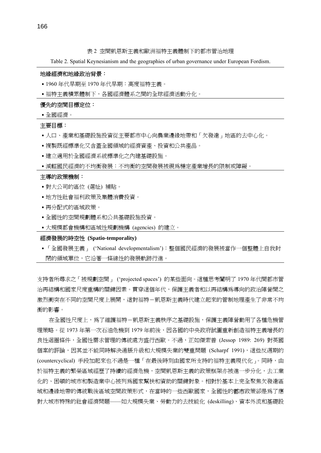表 2 空間凱恩斯主義和歐洲福特主義體制下的都市管治地理

Table 2. Spatial Keynesianism and the geographies of urban governance under European Fordism.

#### 地緣經濟和地緣政治背景:

- ․1960 年代早期至 1970 年代早期:高度福特主義。
- •福特主義積累體制下,各國經濟體系之間的全球經濟活動分化。

#### 優先的空間目標定位:

․全國經濟。

#### 主要目標:

- 人口、產業和基礎設施投資從主要都市中心向農業邊緣地帶和「欠發達」地區的去中心化。
- •複製既經標準化又含蓋全國領域的經濟資產、投資和公共產品。
- 建立適用於全國經濟系統標準化之內建基礎設施。
- ․減輕國民經濟的不均衡發展:不均衡的空間發展被視為穩定產業增長的限制或障礙。

#### 主導的政策機制:

- ․對大公司的區位 (選址) 補貼。
- ․地方性社會福利政策及集體消費投資。
- ․再分配式的區域政策。
- ․全國性的空間規劃體系和公共基礎設施投資。
- ․大規模都會機構和區域性規劃機構 (agencies) 的建立。

#### 經濟發展的時空性 **(Spatio-temporality)**

․「全國發展主義」 ('National developmentalism'):整個國民經濟的發展被當作一個整體上自我封 閉的領域單位,它沿著一條線性的發展軌跡行進。

支持者所尋求之「被規劃空間」 ('projected spaces') 的某些面向。這種思考闡明了 1970 年代間都市管 治再結構和國家尺度重構的關鍵因素。貫穿這個年代,保護主義者和以再結構為導向的政治陣營間之 激烈衝突在不同的空間尺度上展開,這對福特-凱恩斯主義時代建立起來的管制地理產生了非常不均 衡的影響。

在全國性尺度上,為了維護福特-凱恩斯主義秩序之基礎設施,保護主義陣營動用了各種危機管 理策略。從 1973 年第一次石油危機到 1979 年前後,因各國的中央政府試圖重新創浩福特主義增長的 良性迴圈條件,全國性需求管理的傳統處方盛行西歐。不過,正如傑索普 (Jessop 1989: 269) 對英國 個案的評論,因其並不能同時解決通脹升級和大規模失業的雙重問題 (Scharpf 1991),這些反週期的 (countercyclical) 手段加起來也不過是一種「在最後時刻由國家所支持的福特主義現代化」。同時,由 於福特主義的繁榮區域經歷了持續的經濟危機,空間凱恩斯主義的政策框架亦被進一步分化,去工業 化的、困頓的城市和製造業中心被列為國家幫扶和資助的關鍵對象。相對於基本上完全聚焦欠發達區 域和邊緣地帶的傳統戰後區域空間政策形式,在當時的一些西歐國家,全國性的**都市**政策卻是爲了應 對大城市特殊的社會經濟問題——如大規模失業、勞動力的去技能化 (deskilling)、資本外流和基礎設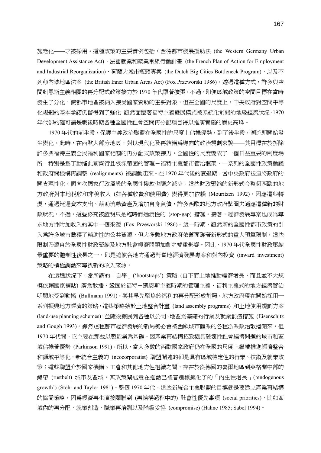施老化——才被採用。這種政策的主要實例包括,西德都市發展援助法 (the Western Germany Urban Development Assistance Act)、法國就業和產業重組行動計畫 (the French Plan of Action for Employment and Industrial Reorganization)、荷蘭大城市瓶頸專案 (the Dutch Big Cities Bottleneck Program),以及不 列顛內城地區法案 (the British Inner Urban Areas Act) (Fox Przeworski 1986)。透過這種方式,許多與空 間凱恩斯主義相關的再分配式政策接力於 1970 年代顯著擴張。不過,即便區域政策的空間目標在當時 發生了分化,使都市地區被納入接受國家資助的主要對象,但在全國的尺度上,中央政府對空間平等 化規劃的基本承諾仍舊得到了強化。雖然面臨著福特主義發展模式被系統化削弱的地緣經濟狀況,1970 年代卻的確可謂是戰後時期各種全國性社會空間再分配項目得以推廣實施的歷史高峰。

1970 年代的前半段,保護主義政治聯盟在全國性的尺度上佔據優勢,到了後半段,潮流即開始發 生變化。此時,在西歐大部分地區,對以現代化及再結構為導向的政治規劃來說——其目標在於拆除 許多與福特主義全民福利國家相關的再分配式政策接力,全國性的尺度變成了一個日益重要的制度場 所。特別是為了動搖此前盛行且根深蒂固的管理-福特主義都市管治框架,一系列的全國性政策動議 和政府間機構再調整 (realignments) 被調動起來。在 1970 年代後的衰退期,當中央政府被迫將政府的 開支理性化,面向次國家行政層級的全國性撥款也隨之減少。這些財政緊縮的新形式令整個西歐的地 方政府對本地稅收和非稅收入 (如各種收費和使用費) 變得更加依賴 (Mouritzen 1992)。因應這些轉 變,通過延遲資本支出、藉助流動資產及增加自身負債,許多西歐的地方政府試圖去適應這種新的財 政狀況,不過,這些終究被證明只是臨時而過渡性的 (stop-gap) 措施。接著,經濟發展專案也成為尋 求地方性附加收入的其中一個來源 (Fox Przeworski 1986)。這一時期,雖然新的全國性都市政策的引 入爲許多城市截獲了輔助性的公共資源,但大多數地方政府依舊面臨著新形式的重大預算限制,這些 限制乃源自於全國性財政緊縮及地方社會經濟問題加劇之雙重影響。因此,1970 年代全國性財政壓縮 最重要的體制性後果之一,即是迫使各地方通過對當地經濟發展專案和對內投資 (inward investment) 策略的積極調動來尋找新的收入來源。

 在這種狀況下,當所謂的「自舉」('bootstraps') 策略 (自下而上地推動經濟增長,而且並不大規 模依賴國家補貼) 廣爲散播,鞏固於福特-凱恩斯主義時期的管理主義、福利主義式的地方經濟管治 明顯地受到動搖 (Bullmann 1991)。與其早先聚焦於福利的再分配形成對照,地方政府現在開始採用一 系列振興地方經濟的策略,這些策略始於土地整合計畫 (land assembly programs) 和土地使用規劃方案 (land-use planning schemes),並隨後擴展到各種以公司、地區為基礎的行業及就業創造措施 (Eisenschitz and Gough 1993)。雖然這種都市經濟發展的新局勢必會被西歐城市體系的各種派系政治散播開來,但 1970 年代間,它主要在那些以製造業為基礎、因產業再結構招致極具破壞性社會經濟問題的城市和區 域佔據著優勢 (Parkinson 1991)。所以,當大多數的西歐國家政府仍在全國的尺度上繼續推進經濟整合 和領域平等化,新統合主義的 (neocorporatist) 聯盟闡述的卻是具有區域特定性的行業、技術及就業政 策;這些聯盟介於國家機構、工會和其他地方性組織之間,存在於從德國的魯爾地區到英格蘭中部的 鏽帶 (rustbelt) 城市及區域,其政策闡述意在推動已被普遍標籤化了的「內生性增長」('endogenous growth') (Stöhr and Taylor 1981)。整個 1970 年代,這些新統合主義聯盟的目標就是要建立產業再結構 的協商策略,因為經濟再生直接關聯到 (再結構過程中的) 社會性優先事項 (social priorities), 比如區 域內的再分配、就業創造、職業再培訓以及階級妥協 (compromise) (Hahne 1985; Sabel 1994)。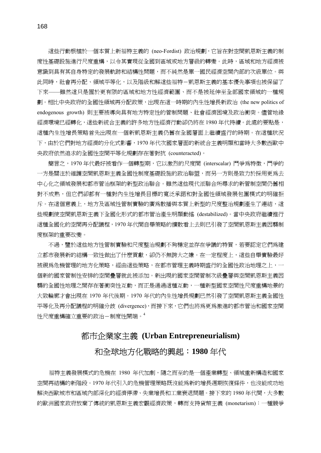這些行動根植於一個本質上新福特主義的 (neo-Fordist) 政治規劃,它旨在對空間凱恩斯主義的制 度性基礎設施進行尺度重構,以令其實現從全國到區域或地方層級的轉變。此時,區域和地方經濟被 意識到具有其自身特定的發展軌跡和結構性問題,而不純然是單一國民經濟空間內部的次級單位。與 此同時,社會再分配、領域平等化,以及階級和解這些福特-凱恩斯主義的基本優先事項也被保留了 下來——雖然這只是囿於更有限的區域和地方性經濟範圍、而不是被延伸至全部國家領域的一種規 劃。相比中央政府的全國性領域再分配政策,出現在這一時期的內生性增長新政治 (the new politics of endogenous growth) 則主要被導向具有地方特定性的管制問題、社會經濟困境及政治衝突。儘管地緣 經濟環境已經轉化,這些新統合主義的許多地方性經濟行動卻仍將在 1980 年代持續。此處的要點是, 這種內生性增長策略首先出現在一個新凱恩斯主義仍舊在全國層面上繼續盛行的時期。在這種狀況 下,由於它們對地方經濟的分化式影響,1970 年代次國家層面的新統合主義明顯和當時大多數西歐中 央政府依然追求的全國性空間平等化規劃存在著對抗 (counteracted)。

簡言之,1970 年代最好被看作一個轉型期,它以激烈的尺度間 (interscalar) 鬥爭為特徵,鬥爭的 一方是關注於維護空間凱恩斯主義全國性制度基礎設施的政治聯盟,而另一方則是致力於採用更為去 中心化之領域發展和都市管治框架的新型政治聯合。雖然這些現代派聯合所尋求的新管制空間仍舊相 對不成熟,但它們卻都有一種對內生性增長目標的寬泛承諾和對全國性領域發展包圍模式的明確拒 斥。在這個意義上,地方及區域性管制實驗的廣為散播與本質上新型的尺度整治規劃產生了連結,這 些規劃使空間凱恩斯主義下全國化形式的都市管治產生明顯動搖 (destabilized)。當中央政府繼續推行 這種全國化的空間再分配議程,1970 年代間自舉策略的擴散看上去則已引發了空間凱恩斯主義因襲制 度框架的重要改變。

不過,鑒於這些地方性管制實驗和尺度整治規劃不夠穩定並存在爭議的特質,若要認定它們為建 立都市發展新的結構一致性做出了什麼貢獻,卻仍不無誇大之嫌。在一定程度上,這些自舉實驗最好 被視為危機管理的地方化策略,經由這些策略,在都市管理主義時期盛行的全國性政治地理之上,一 個新的國家管制性安排的空間疊層就此被添加。新出現的國家空間管制次級疊層與空間凱恩斯主義因 襲的全國性地理之間存在著衝突性互動,而正是通過這種互動,一種新型國家空間性尺度重構地景的 大致輪廓才會出現在 1970 年代後期。1970 年代的內生性增長規劃已然引發了空間凱恩斯主義全國性 平等化及再分配議程的明確分歧 (divergence),而接下來,它們也將為更為激進的都市管治和國家空間 性尺度重構確立重要的政治-制度性開端。<sup>4</sup>

# 都市企業家主義 **(Urban Entrepreneurialism)**

## 和全球地方化戰略的興起:**1980** 年代

福特主義發展模式的危機在 1980 年代加劇,隨之而至的是一個產業轉型、領域重新構造和國家 空間再結構的新階段。1970 年代引入的危機管理策略既沒能為新的增長週期恢復條件,也沒能成功地 解決西歐城市和區域內部深化的經濟停滯、失業增長和工業衰退問題。接下來的 1980 年代間,大多數 的歐洲國家政府放棄了傳統的凱恩斯主義宏觀經濟政策,轉而支持貨幣主義 (monetarism):一種競爭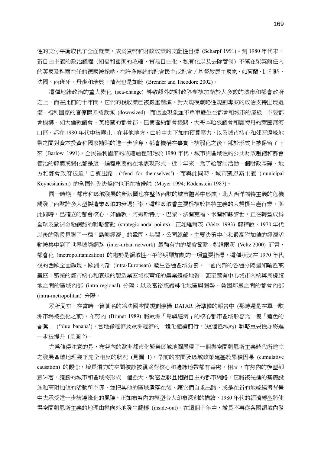性的支付平衡取代了全面就業,成為貨幣和財政政策的支配性目標 (Scharpf 1991)。到 1980 年代末, 新自由主義的政治議程 (如福利國家的收縮、貿易自由化、私有化以及去除管制) 不僅在柴契爾任內 的英國及科爾在任的德國被採納,在許多傳統的社會民主或社會∕基督教民主國家,如荷蘭、比利時、 法國、西班牙、丹麥和瑞典,情況也是如此 (Brenner and Theodore 2002)。

這種地緣政治的重大變化 (sea-change) 導致額外的財政限制被加諸於大多數的城市和都會政府 之上,而在此前的十年間,它們的稅收業已被嚴重削減。對大規模戰略性規劃專案的政治支持出現退 潮,福利國家的官僚體系被裁減 (downsized)。而這些現象並不單單發生在都會和城市的層級。主要都 會機構,如大倫敦議會、英格蘭的都會郡、巴賽隆納都會機關、大哥本哈根議會和鹿特丹的萊茵河河 口區,都在 1980 年代中被廢止。在其他地方,由於中央下加的預算壓力,以及城市核心和郊區邊緣地 帶之間對資本投資和國家補貼的進一步爭奪,都會機構在事實上被弱化之後,卻於形式上被保留了下 來 (Barlow 1991)。全民福利國家的收縮過程開始於 1980 年代,城市與區域性的公共財政壓縮和都會 管治的解體或弱化都是這一過程重要的在地表現形式。近十年來,為了給管制活動一個財政基礎,地 方和都會政府被迫「自謀出路」('fend for themselves'),而與此同時,城市凱恩斯主義 (municipal Keynesianism) 的全國性先決條件也正在被侵蝕 (Mayer 1994; Rödenstein 1987)。

同一時期,都市和區域發展的新版圖也在整個西歐的城市體系中形成。北大西洋福特主義的危機 觸發了西歐許多大型製造業區域的衰退狂潮,這些區域曾主要根植於福特主義的大規模生產行業。與 此同時,已確立的都會核心,如倫敦、阿姆斯特丹、巴黎、法蘭克福、米蘭和蘇黎世,正在轉型成為 全球及歐洲金融網路的戰略節點 (strategic nodal points)。正如維爾茨 (Veltz 1993) 解釋說,1970 年代 以後的階段見證了一種「島嶼經濟」的鞏固,其間,公司總部、主要決策中心和最高附加值的經濟活 動被集中到了世界城際網路 (inter-urban network) 最強有力的都會節點。對維爾茨 (Veltz 2000) 而言, 都會化 (metropolitanization) 的趨勢是領域性不平等明顯加劇的一項重要指標,這種狀況在 1970 年代 後的西歐全面顯現。歐洲內部 (intra-European) 產生各種區域分割。一國內部的各種分隔諸如輸區或 贏區;繁榮的都市核心和衰退的製造業區域或蕭條的農業邊緣地帶。甚至還有中心城市內核與周邊腹 地之間的區域內部 (intra-regional) 分隔;以及富裕或縉紳化地區與弱勢、貧困鄰里之間的都會內部 (intra-metropolitan) 分隔。

眾所周知,在當時一篇著名的為法國空間規劃機構 DATAR 所準備的報告中 (那時還是在單一歐 洲市場被強化之前),布努內 (Brunet 1989) 將歐洲「島嶼經濟」的核心都市區域形容為一隻「藍色的 香蕉」 ('blue banana'),當地緣經濟及歐洲經濟的一體化繼續前行,(這個區域的) 戰略重要性亦將進 一步被提升 (見圖 2)。

尤爲値得注意的是,布努內的歐洲都市化繁榮區域地圖展現了一個與空間凱恩斯主義時代所建立 之發展區域地理幾乎完全相反的狀況 (見圖 1)。早前的空間及區域政策建基於累積因果 (cumulative causation) 的觀念, 增長潛力的空間擴散被視為對核心和邊緣地帶都有益處。相反, 布努內的模型卻 意味著,獲勝的城市和區域將形成一個強大、緊密互聯且相對自主的都市網路,它將被先進的基礎設 施和高附加值的活動所主導,並把其他的區域遺落在後,讓它們自求出路,或是在新的地緣經濟背景 中去承受進一步被邊緣化的風險。正如布努內的模型令人印象深刻的描繪,1980 年代的經濟轉型將使 得空間凱恩斯主義的地理由裡向外地發生翻轉 (inside-out)。在這個十年中,增長不再從各國領域內發

169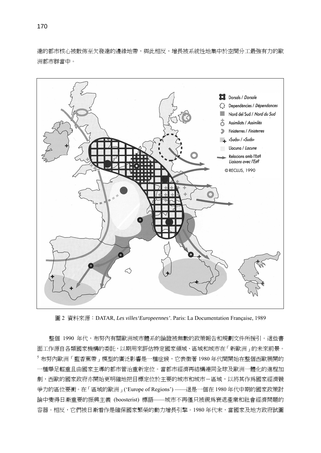達的都市核心被散佈至欠發達的邊緣地帶,與此相反,增長被系統性地集中於空間分工最強有力的歐 洲都市群當中。



圖 2 資料來源:DATAR, *Les villes'Europeennes'*. Paris: La Documentation Française, 1989

整個 1990 年代,布努內有關歐洲城市體系的論證被無數的政策報告和規劃文件所援引。這些書 面工作源自各類國家機構的委託,以期用來評估特定國家領域、區域和城市在「新歐洲」的未來前景。 <sup>5</sup>布努內歐洲「藍香蕉帶」模型的廣泛影響是一種症候,它表徵著 1980 年代間開始在整個西歐展開的 一種舉足輕重且由國家主導的都市管治重新定位。當都市經濟再結構連同全球及歐洲一體化的進程加 劇,西歐的國家政府亦開始更明確地把目標定位於主要的城市和城市-區域,以將其作為國家經濟競 爭力的區位要衝。在「區域的歐洲」('Europe of Regions') ——這是一個在 1980 年代中期的國家政策討 論中變得日漸重要的振興主義 (boosterist) 標語——城市不再僅只被視為衰退產業和社會經濟問題的 容器。相反,它們被日漸看作是確保國家繁榮的動力增長引擎。1980 年代末,當國家及地方政府試圖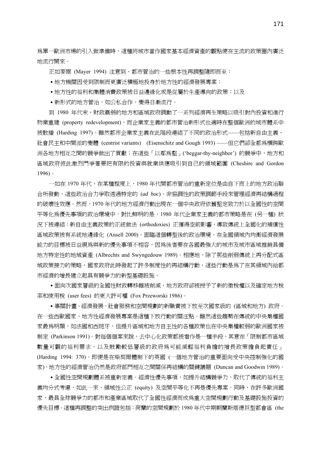爲單一歐洲市場的引入做準備時,這種將城市當作國家基本經濟資產的觀點便在主流的政策圈內廣泛 地流行開來。

正如麥爾 (Mayer 1994) 注意到,都市管治的一些根本性再調整隨即而至:

- ․地方機關因受到限制而更廣泛積極地投身於地方性的經濟發展專案;
- 地方性的福利和集體消費政策被日益邊緣化或是從屬於生產導向的政策;以及
- ․新形式的地方管治,如公私合作,變得日漸流行。

到 1980 年代末,財政羸弱的地方和區域政府調動了一系列經濟再生策略以吸引對內投資和進行 物業重建 (property redevelopment),而企業家主義的都市管治新形式也適時在整個歐洲的城市體系中 被散播 (Harding 1997)。雖然都市企業家主義在此階段連結了不同的政治形式——包括新自由主義、 社會民主和中間派的變體 (centrist variants) (Eisenschitz and Gough 1993) ——但它們卻全都為橫跨歐 洲各地方相互之間的競爭做出了貢獻;在這些「以鄰為壑」('beggar-thy-neighbor') 的競爭中,地方和 區域政府彼此激烈鬥爭著要把有限的投資與就業供應吸引到自己的領域範圍 (Cheshire and Gordon 1996)。

一如在 1970 年代,在某種程度上,1980 年代間都市管治的重新定位是由自下而上的地方政治聯 合所發動,這些政治合力爭取透過特定的 (*ad hoc*)、非協調性的政策調節手段來管理經濟再結構過程 的破壞性效應。然而,1970 年代的地方經濟行動出現在一個中央政府依舊堅定致力於以全國性的空間 平等化為優先事項的政治環境中。對比鮮明的是,1980 年代企業家主義的都市策略是在 (另一種) 狀 況下被連結:新自由主義政策的正統做法 (orthodoxies) 正獲得空前影響,導致傳統上全國化的補償性 區域政策被有系統地邊緣化 (Ansell 2000)。面臨這個轉型後的政治環境,在全國領域內均衡經濟發展 能力的目標被日益視為與新的優先事項不相容,因為後者要在各國最強大的城市及城市區域推銷具備 地方特定性的地域資產 (Albrechts and Swyngedouw 1989)。相應地,除了那些削弱傳統上再分配式區 域政策接力的策略,國家政府此時發起了許多制度性的再結構行動,這些行動是為了在其領域內給都 市經濟的增長建立起具有競爭力的新型基礎設施。

• 面向次國家層級的全國性財政轉移雖被削減,地方政府卻被授予了新的徵稅權以及確定地方稅 率和使用稅 (user fees) 的更大許可權 (Fox Przeworski 1986)。

․事關計畫、經濟發展、社會服務和空間規劃的新職責被下放至次國家級的 (區域和地方) 政府。 在一些西歐國家,地方性經濟發展專案是這種下放行動的關注點。雖然這些趨勢在傳統的中央集權國 家最爲明顯,如法國和西班牙,但提升區域和地方自主性的各種政策也在中央集權較弱的歐洲國家被 制定 (Parkinson 1991)。對每個個案來說,去中心化政策都被看作是一種手段,其意在「限制都市區域 數量可觀的福利需求,以及鼓勵較低層級的政府為可能減輕福利負擔的增長政策擔負起責任」 (Harding 1994: 370)。即便是在柴契爾體制下的英國 (一個地方管治的重要面向受中央控制強化的國 家),地方性的經濟管治仍然是政府部門相互之間關係再結構的關鍵議題 (Duncan and Goodwin 1989)。

• 全國性空間規劃體系被重新定義。經濟性優先事項,如提升結構競爭力,取代了傳統的福利主 義均分式考慮,如此一來,領域性公正 (equity) 及空間平等化不再是優先專案。同時,在許多歐洲國 家,最具全球競爭力的都市和產業區域取代了全國性經濟而成為重大空間規劃行動及基礎設施投資的 優先目標。這種再調整的突出例證包括:荷蘭的空間規劃於 1980 年代中期朝蘭斯塔德巨型都會區 (the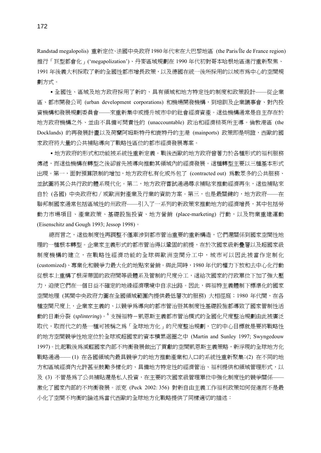Randstad megalopolis) 重新定位、法國中央政府1980年代末在大巴黎地區 (the Paris/Île de France region) 推行「巨型都會化」('megapolization')、丹麥區域規劃在 1990 年代初對哥本哈根地區進行重新聚焦、 1991 年後義大利採取了新的全國性都市增長政策,以及德國在統一後所採用的以城市為中心的空間規 劃方式。

․全國性、區域及地方政府採用了新的、具有領域和地方特定性的制度和政策設計——從企業 區、都市開發公司 (urban development corporations) 和機場開發機構,到培訓及企業議事會、對內投 資機構和發展規劃委員會——來重新集中或提升城市中的社會經濟資產。這些機構通常是自主存在於 地方政府機構之外、並由不具備可問責性的 (unaccountable) 政治和經濟精英所主導。倫敦港區 (the Docklands) 的再發展計畫以及荷蘭阿姆斯特丹和鹿特丹的主港 (mainports) 政策即是明證,西歐的國 家政府將大量的公共補貼導向了戰略性區位的都市經濟發展專案。

• 地方政府的形式和功能被系統性重新定義。戰後西歐的地方政府曾著力於各種形式的福利服務 傳遞,而這些機構在轉型之後卻首先被導向推動其領域內的經濟發展。這種轉型主要以三種基本形式 出現。第一,面對預算限制的增加,地方政府私有化或外包了 (contracted out) 為數眾多的公共服務、 並試圖將其公共行政的體系現代化。第二,地方政府嘗試通過尋求補貼來推動經濟再生,這些補貼來 自於 (各國) 中央政府和∕或歐洲對產業及行業的資助方案。第三,也是最關鍵的,地方政府——在 聯邦制國家通常包括區域性的州政府——引入了一系列的新政策來推動地方的經濟增長,其中包括勞 動力市場項目、產業政策、基礎設施投資、地方營銷 (place-marketing) 行動,以及物業重建運動 (Eisenschitz and Gough 1993; Jessop 1998)。

總而言之,這些制度性再調整不僅牽涉到都市管治重要的重新構造,它們還關係到國家空間性地 理的一種根本轉型。企業家主義形式的都市管治得以鞏固的前提,在於次國家級新疊層以及超國家級 制度機構的建立,在戰略性經濟功能的全球與歐洲空間分工中,城市可以因此被當作定制化 (customized)、專業化和競爭力最大化的地點來營銷。與此同時,1980 年代的權力下放和去中心化行動 從根本上重構了根深蒂固的政府間等級體系及管制的尺度分工,這給次國家的行政單位下加了強大壓 力,迫使它們在一個日益不確定的地緣經濟環境中自求出路。因此,與福特主義體制下標準化的國家 空間地理 (其間中央政府力圖在全國領域範圍內提供最低層次的服務) 大相徑庭;1980 年代間,在各 種空間尺度上,企業家主義的、以競爭為導向的都市管治暨其制度性基礎設施都導致了國家管制性活 動的日漸分裂 (*splintering*)。<sup>6</sup> 支援福特-凱恩斯主義都市管治模式的全國化尺度整治規劃由此被廣泛 取代,取而代之的是一種可被稱之為「全球地方化」的尺度整治規劃,它的中心目標就是要將戰略性 的地方空間競爭性地定位於全球或超國家的資本積累迴圈之中 (Martin and Sunley 1997; Swyngedouw 1997)。比起戰後爲減輕國家內部不均衡發展做出了貢獻的空間凱恩斯主義策略,新浮現的全球地方化 戰略通過—— (1) 在各國領域內最具競爭力的地方推動產業和人口的系統性重新聚集;(2) 在不同的地 方和區域經濟內允許甚至鼓勵多樣化的、具備地方特定性的經濟管治、福利提供和領域管理形式,以 及 (3) 不管是為了公共補貼還是私人投資,在主要的次國家級管理單位中強化制度性的競爭關係—— 激化了國家內部的不均衡發展。派克 (Peck 2002: 356) 對新自由主義工作福利政策如何促進而不是最 小化了空間不均衡的論述爲當代西歐的全球地方化戰略提供了同樣適切的描述: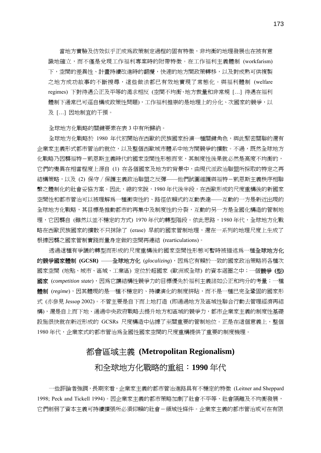當地方實驗及仿效似乎正成為政策制定過程的固有特徵,非均衡的地理發展也在被有意 識地確立,而不僅是兌現工作福利專案時的附帶特徵。在工作福利主義體制 (workfarism) 下,空間的差異性、計畫持續改進時的翻攪,快速的地方間政策轉移,以及對成熟可供複製 之地方成功故事的不斷搜尋,這些做法都已有效地實現了常態化。與福利體制 (welfare regimes) 下對待遇公正及平等的渴求相反 (空間不均衡、地方裁量和非常規 […] 待遇在福利 體制下通常已可逕自構成政策性問題),工作福利推崇的是地理上的分化、次國家的競爭,以 及 […] 因地制宜的干預。

全球地方化戰略的關鍵要素在表 3 中有所歸納。

全球地方化戰略於 1980 年代初開始在西歐的民族國家扮演一種關鍵角色,與此緊密關聯的還有 企業家主義形式都市管治的就位,以及整個西歐城市體系中地方間競爭的擴散。不過,既然全球地方 化戰略乃因襲福特-凱恩斯主義時代的國家空間性形態而來,其制度性後果就必然是高度不均衡的, 它們的變異在相當程度上源自 (1) 在各個國家及地方的背景中,由現代派政治聯盟所採取的特定之再 結構策略,以及 (2) 保守∕保護主義政治聯盟之反彈——他們試圖維護與福特-凱恩斯主義秩序相聯 繫之體制化的社會妥協方案。因此,總的來說,1980 年代後半段,在西歐形成的尺度重構後的新國家 空間性和都市管治可以被理解為一種衝突性的、路徑依賴式的互動表達——互動的一方是新近出現的 全球地方化戰略,其目標是推動都市的再集中及制度性的分裂,互動的另一方是全國化構造的管制地 理,它因襲自 (雖然以並不穩定的方式) 1970 年代的轉型階段。依此思路,1980 年代,全球地方化戰 略在西歐民族國家的擴散不只抹除了 (erase) 早前的國家管制地理,還在一系列的地理尺度上生成了 根據因襲之國家管制實踐而量身定做的空間再連結 (rearticulations)。

诱過這種有爭議的轉型而形成的尺度重構後的國家空間性形態可暫時被描述為一種**全球地方化** 的競爭國家體制 **(GCSR)** ——全球地方化 (*glocalizing*),因為它有賴於一致的國家政治策略將各種次 國家空間 (地點、城市、區域、工業區) 定位於超國家 (歐洲或全球) 的資本迴圈之中;一個競爭 **(**型**)**  國家 (*competition state*),因為它讓結構性競爭力的目標優先於福利主義諸如公正和均分的考量;一種 **體制** (regime),因其體現的是一種不穩定的、持續演化的制度拼貼,而不是一種已完全鞏固的國家形 式 (亦參見 Jessop 2002)。不管主要是自下而上地打造 (即通過地方及區域性聯合行動去管理經濟再結 構),還是自上而下地、通過中央政府戰略去提升地方和區域的競爭力,都市企業家主義的制度性基礎 設施很快就在新近形成的 GCSRs 尺度構造中佔據了至關重要的管制地位。正是在這個意義上,整個 1980 年代, 企業家式的都市管治為全國性國家空間的尺度重構提供了重要的制度機理。

## 都會區域主義 **(Metropolitan Regionalism)**

## 和全球地方化戰略的重組:**1990** 年代

一些評論者強調,長期來看,企業家主義的都市管治進路具有不穩定的特徵 (Leitner and Sheppard 1998; Peck and Tickell 1994)。因企業家主義的都市策略加劇了社會不平等、社會隔離及不均衡發展, 它們削弱了資本主義可持續擴張所必須仰賴的社會-領域性條件。企業家主義的都市管治或可在有限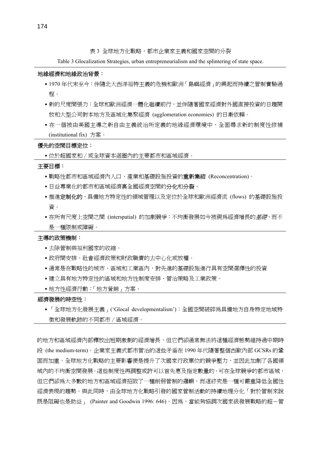表 3 全球地方化戰略,都市企業家主義和國家空間的分裂

Table 3 Glocalization Strategies, urban entrepreneurialism and the splintering of state space.

#### 地緣經濟和地緣政治背景:

- ․1970 年代末至今:伴隨北大西洋福特主義的危機和歐洲「島嶼經濟」的興起而持續之管制實驗過 程。
- 新的尺度間張力: 全球和歐洲經濟一體化繼續前行, 並伴隨著國家經濟對外國直接投資的日趨開 放和大型公司對本地方及區域化集聚經濟 (agglomeration economies) 的日漸依賴。
- 在一個被由美國主導之新自由主義統治所定義的地緣經濟環境中,全面尋求新的制度性修補 (institutional fix) 方案。

#### 優先的空間目標定位:

• 位於超國家和 / 或全球資本迴圈內的主要都市和區域經濟。

#### 主要目標:

- •戰略性都市和區域經濟內人口、產業和基礎設施投資的**重新集結 (Reconcentration**)。
- •日益專業化的都市和區域經濟裏全國經濟空間的分化和分裂。
- •推進定制化的、具備地方特定性的領域管理以及定位於全球和歐洲經濟流 (flows) 的基礎設施投 資。
- •在所有尺度上空間之間 (interspatial) 的加劇競爭: 不均衡發展如今被視爲經濟增長的*基礎*,而不 是一種限制或障礙。

#### 主導的政策機制:

- ․去除管制與福利國家的收縮。
- ․政府間安排、社會經濟政策和財政職責的去中心化或放權。
- 通常是在戰略性的城市、區域和工業區內,對先進的基礎設施進行具有空間選擇性的投資
- •建立具有地方特定性的區域和地方性制度安排、管治策略及工業政策。
- ․地方性經濟行動:「地方營銷」方案。

#### 經濟發展的時空性:

․「全球地方化發展主義」('Glocal developmentalism'):全國空間破碎為具備地方自身特定地域特 徵和發展軌跡的不同都市∕區域經濟。

的地方和區域經濟內部釋放出短期激劇的經濟增長,但它們卻通常無法將這種經濟態勢維持過中期時 段 (the medium-term)。企業家主義式都市管治的這些矛盾在 1990 年代隨著整個西歐內部 GCSRs 的鞏 固而加重。全球地方化戰略的主要影響便是提升了次國家行政單位的競爭壓力,並因此加劇了各國領 域內的不均衡空間發展。這些制度性再調整或許可以首先惠及指定數量的、可在全球競爭的都市區域, 但它們卻爲大多數的地方和區域經濟招致了一種削弱管制的邏輯,而這終究是一種可嚴重降低全國性 經濟表現的趨勢。與此同時,由全球地方化戰略引發的國家管制活動的持續地理分化「對於管制來說 既是阻礙也是助益」 (Painter and Goodwin 1996: 646)。因為,當能夠協調次國家級發展戰略的超-管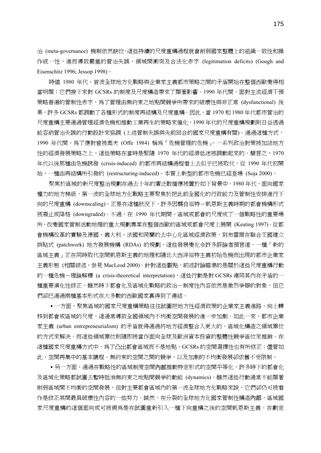治 (meta-governance) 機制依然缺位,這些持續的尺度重構過程就會削弱國家整體上的組織一致性和操 作統一性,進而導致嚴重的管治失誤、領域間衝突及合法化赤字 (legitimation deficits) (Gough and Eisenschitz 1996; Jessop 1998)。

時値 1980 年代,首波全球地方化戰略與企業家主義都市策略之間的矛盾開始在整個西歐變得相 當明顯; 它們接下來對 GCSRs 的制度及尺度構浩帶來了顯著影響。1990 年代間,面對主流經濟干預 策略普遍的管制性赤字,為了管理由無約束之地點間競爭所帶來的破壞性與非正常 (dysfunctional) 後 果, 許多 GCSRs 都調動了各種形式的制度再結構及尺度重構。因此, 當 1970 和 1980 年代都市管治的 尺度重構主要通過管理經濟危機和推動工業再生的策略來催化,1990 年代的尺度重構規劃則日益透過 能容納管治失誤的行動設計來協調 (上述管制失誤與先前回合的國家尺度重構有關)。通過這種方式, 1990 年代間,為了應對曾被奧夫 (Offe 1984) 稱為「危機管理的危機 ,一系列政治對策被加諸地方 性的經濟發展策略之上,這些策略在當時是緊隨 1970 年代的經濟低迷被調動起來的。簡言之,1970 年代以後那種由危機誘發 (crisis-induced) 的都市再結構過程看上去似乎已被取代,從 1990 年代初開 始,一種由再結構所引發的 (restructuring-induced)、本質上新型的都市危機已經登場 (Soja 2000)。

聚焦於區域的新尺度整治規劃在過去十年的廣泛散播應被置於如下背景中。1980 年代,面向國家 權力的地方梯級,第一波的全球地方化戰略主要聚焦於把此前全國化的行政能力及管制性安排進行下 向的尺度重構 (downscaling)。正是在這種狀況下,許多因襲自福特-凱恩斯主義時期的都會機構形式 被廢止或降格 (downgraded)。不過,在 1990 年代期間,區域或都會的尺度成了一個戰略性的重要場 所,改變國家管制活動地理的重大規劃專案在整個西歐的區域或都會尺度上展開 (Keating 1997)。從都 會機構改革的實驗及德國、義大利、法國和荷蘭的去中心化區域經濟政策,到布雷爾在聯合王國建立 拼貼式 (patchwork) 地方發展機構 (RDAs) 的規劃,這些發展變化令許多評論者預言道,一種「新的 區域主義」正在同時取代空間凱恩斯主義的地理和隨北大西洋福特主義初始危機而出現的都市企業家 主義形態 (相關綜述,參見 MacLeod 2000)。針對這些觀點,前述討論瞄準的是關於這些尺度重構行動 的一種危機-理論解釋 (a crisis-theoretical interpretation),這些行動是對 GCSRs 連同其內在矛盾的一 種重要演化性修正。雖然時下都會化及區域化戰略的政治-制度性內容依然是激烈爭辯的對象,但它 們卻已通過兩種基本形式在大多數的西歐國家裏得到了連結。

•一方面,聚焦區域的國家尺度重構策略往往試圖把地方性經濟政策的企業家主義進路,向上轉 移到都會或區域的尺度,這通常導致全國領域內不均衡空間發展的進一步加劇。如此一來,都市企業 家主義 (urban entrepreneurialism) 的矛盾就得通過將地方經濟整合入更大的、區域化構造之領域單位 的方式來解決,而這些領域單位則隨即被當作面向全球及歐洲資本投資的整體性競爭區位來推銷。在 這種國家尺度重構方式中,為了凸出都會區域而不是地點,GCSRs 的空間選擇性也有所修正;儘管如 此,空間再集中的基本議程、無約束的空間之間的競爭,以及加劇的不均衡發展卻依舊不受限制。

•另一方面,通過在戰略性的區域制度空間**內部**推動特定形式的空間平等化,許多時下的都會化 及區域化策略都試圖去暫時抵消無約束之地點間競爭的動能 (dynamics)。雖然這些行動通常不能顯著 削弱區域間不均衡的空間發展,但對主要都會區域內的第一波全球地方化戰略來說,它們卻仍可被看 作是修正其間最具破壞性內容的一些努力。誠然,在分裂的全球地方化國家管制性構造**內部**,區域國 家尺度重構的這個面向或可被視為是在試圖重新引入一種下向重構之後的空間凱恩斯主義。在劃定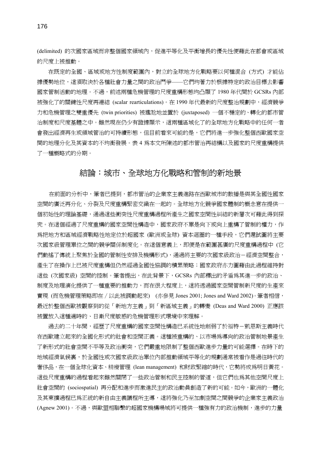(delimited) 的次國家區域而非整個國家領域內,促進平等化及平衡增長的優先性便藉此在都會或區域 的尺度上被推動。

在既定的全國、區域或地方性制度範圍內,對立的全球地方化戰略要以何種混合 (方式) 才能佔 據優勢地位,這須取決於各種社會力量之間的政治鬥爭——它們均著力於根據特定的政治目標去影響 國家管制活動的地理。不過,前述兩種危機管理的尺度重構形態均凸顯了 1980 年代間於 GCSRs 內部 被強化了的關鍵性尺度再連結 (scalar rearticulations)。在 1990 年代最新的尺度整治規劃中,經濟競爭 力和危機管理之雙重優先 (twin priorities) 被尷尬地並置於 (juxtaposed) 一個不穩定的、轉化的都市管 治制度和尺度基體之中。雖然現在仍少有證據顯示,這兩種區域化了的全球地方化戰略中的任何一者 會發出經濟再生或領域管治的可持續形態,但目前看來可能的是,它們將進一步強化整個西歐國家空 間的地理分化及其資本的不均衡發展。表 4 為本文所陳述的都市管治再結構以及國家的尺度重構提供 了一種概略式的分期。

### 結論:城市、全球地方化戰略和管制的新地景

在前面的分析中,筆者已提到,都市管治的企業家主義進路在西歐城市的散播是與其全國性國家 空間的廣泛再分化、分裂及尺度重構緊密交織在一起的。全球地方化競爭國家體制的概念意在提供一 個初始性的理論基礎,通過這些衝突性尺度重構過程所產生之國家空間性糾結的新層次可藉此得到探 究。在這個經過了尺度重構的國家空間性構造中,國家政府不單是向下或向上重構了管制的權力,作 為把地方和區域經濟戰略性地定位於超國家 (歐洲或全球) 資本迴圈的一種手段,它們還試圖將主要 次國家級管理單位之間的競爭關係制度化。在這個意義上,即便是在範圍甚廣的尺度重構過程中 (它 們動搖了傳統上聚焦於全國的管制性安排及機構形式),通過將主要的次國家級政治-經濟空間整合, 產生了在操作上已被尺度重構但仍然經過全國性協調的積累策略;國家政府亦力圖藉由此過程維持對 這些 (次國家級) 空間的控制。筆者提出,在此背景下,GCSRs 內部釋出的矛盾為其進一步的政治、 制度及地理演化提供了一種重要的推動力,而在很大程度上,這將透過國家空間管制新尺度的生產來 實現 (而危機管理策略即在 / 以此被調動起來) (亦參見 Jones 2001; Jones and Ward 2002)。筆者相信, 最近於整個西歐被觀察到的從「新地方主義」到「新區域主義」的轉變 (Deas and Ward 2000) 正應該 被置放入這種適時的、日漸尺度敏感的危機管理形式環境中來理解。

過去的二十年間,經歷了尺度重構的國家空間性構造已系統性地削弱了於福特-凱恩斯主義時代 在西歐建立起來的全國化形式的社會和空間正義。這種被重構的、以市場為導向的政治管制地景產生 了新形式的社會空間不平等及政治衝突,它們嚴重地限制了整個西歐進步力量的可能選擇。在時下的 地域經濟氣候裏,於全國性或次國家級政治單位內部推動領域平等化的規劃通常被看作是過往時代的 奢侈品,在一個全球化資本、精瘦管理 (lean management) 和財政緊縮的時代,它勢將成爲明日黃花。 這些尺度重構的過程看起來雖然關閉了一些政治管制和民主控制的管道,但它們也為其他空間尺度上 社會空間的 (sociospatial) 再分配和進步而激進民主的政治動員創造了新的可能。如今,歐洲的一體化 及其東擴過程已為正統的新自由主義議程所主導,這將強化乃至加劇空間之間競爭的企業家主義政治 (Agnew 2001)。不過,與歐盟相聯繫的超國家機構場域將可提供一種強有力的政治機制,進步的力量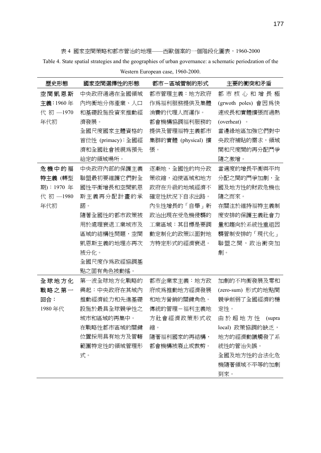表 4 國家空間策略和都市管治的地理——西歐個案的一個階段化圖表,1960-2000

Table 4. State spatial strategies and the geographies of urban governance: a schematic periodzation of the

| 歷史形態       | 國家空間選擇性的形態        | 都市-區域管制的形式         | 主要的衝突和矛盾            |
|------------|-------------------|--------------------|---------------------|
| 空間凱恩斯      | 中央政府通過在全國領域       | 都市管理主義:地方政府        | 都市核心和增長極            |
| 主義:1960年   | 內均衡地分佈產業、人口       | 作爲福利服務提供及集體        | (grwoth poles) 會因為快 |
| 代初 -1970   | 和基礎設施投資來推動經       | 消費的代理人而運作。         | 速成長和實體擴張而過熱         |
| 年代初        | 濟發展。              | 都會機構協調福利服務的        | (overheat) •        |
|            | 全國尺度國家主體資格的       | 提供及管理福特主義都市        | 當邊緣地區加強它們對中         |
|            | 首位性 (primacy):全國經 | 集群的實體 (physical) 擴 | 央政府補貼的需求,領域         |
|            | 濟和全國社會被視爲預先       | 張。                 | 間和尺度間的再分配鬥爭         |
|            | 給定的領域場所。          |                    | 隨之激增。               |
| 危機中的福      | 中央政府內部的保護主義       | 逐漸地,全國性的均分政        | 當適度的增長平衡與平均         |
| 特主義 (轉型    | 聯盟最初要維護它們對全       | 策收縮,迫使區域和地方        | 分配之間的鬥爭加劇,全         |
| 期): 1970 年 | 國性平衡增長和空間凱恩       | 政府在升級的地域經濟不        | 國及地方性的財政危機也         |
| 代初 -1980   | 斯主義再分配計畫的承        | 確定性狀況下自求出路。        | 隨之而來。               |
| 年代初        | 諾。                | 內生性增長的「自舉」新        | 在關注於維持福特主義制         |
|            | 隨著全國性的都市政策被       | 政治出現在受危機侵襲的        | 度安排的保護主義社會力         |
|            | 用於處理衰退工業城市及       | 工業區域:其目標是要調        | 量和趨向於系統性重組因         |
|            | 區域的結構性問題,空間       | 動定制化的政策以面對地        | 襲管制安排的「現代化」         |
|            | 凱恩斯主義的地理亦再次       | 方特定形式的經濟衰退。        | 聯盟之間,政治衝突加          |
|            | 被分化。              |                    | 劇。                  |
|            | 全國尺度作爲政經協調基       |                    |                     |
|            | 點之固有角色被動搖。        |                    |                     |
| 全球地方化      | 第一波全球地方化戰略的       | 都市企業家主義:地方政        | 加劇的不均衡發展及零和         |
| 戰略之第一      | 興起:中央政府在其域內       | 府成爲推動地方經濟發展        | (zero-sum) 形式的地點間   |
| 回合:        | 推動經濟能力和先進基礎       | 和地方營銷的關鍵角色。        | 競爭削弱了全國經濟的穩         |
| 1980年代     | 設施於最具全球競爭性之       | 傳統的管理-福利主義地        | 定性。                 |
|            | 城市和區域的再集中。        | 方社會經濟政策形式收         | 由於超地方性<br>(supra    |
|            | 在戰略性都市區域的關鍵       | 縮。                 | local) 政策協調的缺乏,     |
|            | 位置採用具有地方及管轄       | 隨著福利國家的再結構,        | 地方的經濟動議觸發了系         |
|            | 範圍特定性的領域管理形       | 都會機構被廢止或裁剪。        | 統性的管治失誤。            |
|            | 式。                |                    | 全國及地方性的合法化危         |
|            |                   |                    | 機隨著領域不平等的加劇         |
|            |                   |                    | 到來。                 |

Western European case, 1960-2000.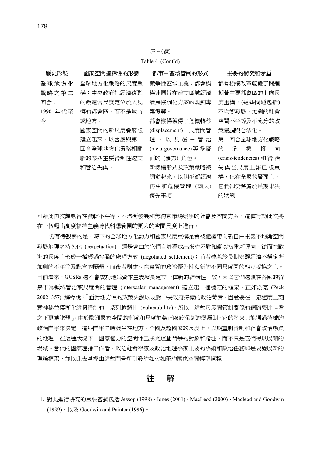表 4 (續)

Table 4. (Cont'd)

| 歷史形態        | 國家空間選擇性的形態  | 都市-區域管制的形式             | 主要的衝突和矛盾                |
|-------------|-------------|------------------------|-------------------------|
| 全球地方化       | 全球地方化戰略的尺度重 | 競爭性區域主義:都會機            | 都會機構改革觸發了問題             |
| 戰略之第二       | 構:中央政府把經濟復甦 | 構連同旨在建立區域經濟            | 朝著主要都會區的上向尺             |
| 回合:         | 的最適當尺度定位於大規 | 發展協調化方案的規劃專            | 度重構,(這些問題包括)            |
| 1990<br>年代至 | 模的都會區,而不是城市 | 案復興。                   | 不均衡發展、加劇的社會             |
| 今           | 或地方。        | 都會機構獲得了危機轉移            | 空間不平等及不充分的政             |
|             | 國家空間的新尺度疊層被 | (displacement)、尺度間管    | 策協調與合法化。                |
|             | 建立起來,以因應與第一 | 以 及 超 - 管 治<br>理 ,     | 第一回合全球地方化戰略             |
|             | 回合全球地方化策略相關 | (meta-governance) 等 多層 | 危<br>機<br>謅<br>的<br>向   |
|             | 聯的某些主要管制性诱支 | 面的 (權力) 角色。            | (crisis-tendencies) 和管治 |
|             | 和管治失誤。      | 新機構形式及政策戰略被            | 失誤在尺度上雖已被重              |
|             |             | 調動起來,以期平衡經濟            | 構,但在全國的層面上,             |
|             |             | 再生和危機管理<br>(兩大)        | 它們卻仍舊處於長期未決             |
|             |             | 優先事項。                  | 的狀態。                    |

可藉此再次調動旨在減輕不平等、不均衡發展和無約束市場競爭的社會及空間方案,這種行動此次將 在一個超出高度福特主義時代料想範圍的更大的空間尺度上進行。

仍有待觀察的是,時下的全球地方化動力和國家尺度重構是會被繼續帶向新自由主義不均衡空間 發展地理之持久化 (perpetuation),還是會由於它們自身釋放出來的矛盾和衝突被重新導向,從而在歐 洲的尺度上形成一種經過協商的處理方式 (negotiated settlement);前者建基於長期宏觀經濟不穩定所 加劇的不平等及社會的隔離,而後者則建立在實質的政治優先性和新的不同尺度間的相互妥協之上。 目前看來,GCSRs 還不會成功地為資本主義增長建立一種新的結構性一致,因為它們還須在各國的背 景下為領域管治或尺度間的管理 (interscalar management) 確立起一個穩定的框架。正如派克 (Peck 2002: 357) 解釋說:「面對地方性的政策失誤以及對中央政府持續的政治苛責,因還要在一定程度上刻 意神秘並模糊化這個體制的一系列脆弱性 (vulnerability),所以,這些尺度間管制關係的網路要比乍看 之下更為脆弱」。由於歐洲國家空間的制度和尺度框架正處於深刻的變遷期,它的將來只能通過持續的 政治鬥爭來決定,這些鬥爭同時發生在地方、全國及超國家的尺度上,以期重制管制和社會政治動員 的地理。在這種狀況下,國家權力的空間性已成為這些鬥爭的對象和賭注,而不只是它們得以展開的 場域。當代的國家理論工作者、政治社會學家及政治地理學家主要的學術和政治任務即是要發展新的 理論框架,並以此去掌握由這些鬥爭所引發的如火如荼的國家空間轉型過程。

註解

<sup>1.</sup> 對此進行研究的重要嘗試包括 Jessop (1998)、Jones (2001)、MacLeod (2000)、Macleod and Goodwin (1999),以及 Goodwin and Painter (1996)。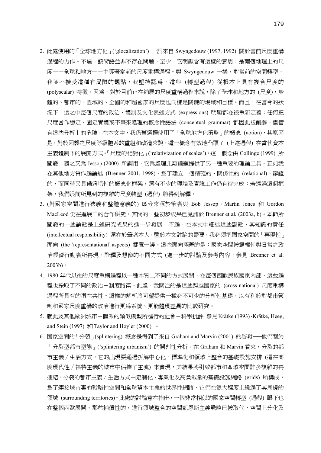- 2. 此處使用的「全球地方化」('glocalization') 一詞來自 Swyngedouw (1997, 1992) 關於當前尺度重構 過程的力作。不過,該術語並非不存在問題,至少,它明顯含有這樣的意思:是**兩個**地理上的尺 度——全球和地方——主導著當前的尺度重構過程。與 Swyngedouw 一樣,對當前的空間轉型, 我並不接受這種有局限的觀點,我堅持認為,這些 (轉型過程) 從根本上具有複合尺度的 (polyscalar) 特徵。因為,對於目前正在鋪展的尺度重構過程來說,除了全球和地方的 (尺度),身 體的、都市的、區域的、全國的和超國家的尺度也同樣是關鍵的場域和目標。而且,在當今的狀 況下,這之中每個尺度的政治、體制及文化表述方式 (expressions) 明顯都在被重新定義;任何把 尺度當作穩定、固定實體或平臺來處理的概念性語法 (conceptual grammar) 都因此被削弱。儘管 有這些分析上的危險,在本文中,我仍舊選擇使用了「全球地方化策略」的概念 (notion), 其原因 是,對於因襲之尺度等級體系的重組和改造來說,這一概念有效地凸顯了 (上述過程) 在當代資本 主義體制下的展開方式。「尺度的相對化」('relativization of scales'),這一概念由 Collinge (1999) 所 闡發,隨之又爲 Jessop (2000) 所調用,它爲處理此類議題提供了另一種重要的理論工具。正如我 在其他地方曾作過論述 (Brenner 2001, 1998),為了建立一個精確的、關係性的 (relational)、辯證 的,而同時又具備適切性的概念化框架,還有不少的理論及實證工作仍有待完成;若透過這個框 架,我們眼前所見到的複雜的尺度轉型 (過程) 將得到解釋。
- 3. (對國家空間進行狹義和整體意義的) 區分來源於筆者與 Bob Jessop、Martin Jones 和 Gordon MacLeod 仍在進展中的合作研究,其間的一些初步成果已見諸於 Brenner et al*.* (2003a, b)。本節所 闡發的一些論點是上述研究成果的進一步發展。不過,在本文中細述這些觀點,其知識的責任 (intellectual responsibility) 還在於筆者本人。鑒於本文討論的需要,我必須把國家空間的「再現性」 面向 (the 'representational' aspects) 擱置一邊,這些面向涵蓋的是:國家空間被霸權性與日常之政 治經濟行動者所再現、詮釋及想像的不同方式 (進一步的討論及參考內容,參見 Brenner et al*.* 2003b)。
- 4. 1980 年代以後的尺度重構過程以一種本質上不同的方式展開,在每個西歐民族國家內部,這些過 程也採取了不同的政治-制度路徑。此處,我關注的是這些跨越國家的 (cross-national) 尺度重構 過程所具有的潛在共性。這樣的解析將可望提供一種必不可少的分析性基礎,以有利於對都市管 制和國家尺度重構的政治進行更為系統、更能體現差異的比較研究。
- 5. 就此及其他歐洲城市-體系的類似模型所進行的社會-科學批評,參見Krätke (1993)、Krätke, Heeg, and Stein (1997)  $\bar{\text{H}}$  Taylor and Hoyler (2000)  $\circ$
- 6. 國家空間的「分裂」(splintering) 概念是得到了來自 Graham and Marvin (2001) 的啟發——他們關於 「分裂型都市型態」('splintering urbanism') 的開創性分析。在 Graham 和 Marvin 看來,分裂的都 市主義∕生活方式,它的出現要通過拆解中心化、標準化和領域上整合的基礎設施安排 (這在高 度現代性 / 福特主義的城市中佔據了主流) 來實現,其結果將引致都市和區域空間許多複雜的再 連結。分裂的都市主義∕生活方式由定制化、專業化及高負載量的基礎設施網路 (grids) 所構成, 為了連接城市裏的戰略性空間和全球資本主義的世界性網路,它們在很大程度上繞過了其周邊的 領域 (surrounding territories)。此處的討論意在指出,一個非常相似的國家空間轉型 (過程) 眼下也 在整個西歐展開。那些補償性的,進行領域整合的空間凱恩斯主義戰略已被取代,空間上分化及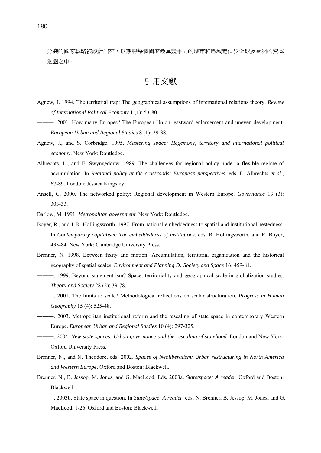分裂的國家戰略被設計出來,以期將每個國家最具競爭力的城市和區域定位於全球及歐洲的資本 迴圈之中。

引用文獻

- Agnew, J. 1994. The territorial trap: The geographical assumptions of international relations theory. *Review of International Political Economy* 1 (1): 53-80.
- ―――. 2001. How many Europes? The European Union, eastward enlargement and uneven development. *European Urban and Regional Studies* 8 (1): 29-38.
- Agnew, J., and S. Corbridge. 1995. *Mastering space: Hegemony, territory and international political economy*. New York: Routledge.
- Albrechts, L., and E. Swyngedouw. 1989. The challenges for regional policy under a flexible regime of accumulation. In *Regional policy at the crossroads: European perspectives*, eds. L. Albrechts *et al*., 67-89. London: Jessica Kingsley.
- Ansell, C. 2000. The networked polity: Regional development in Western Europe. *Governance* 13 (3): 303-33.
- Barlow, M. 1991. *Metropolitan government.* New York: Routledge.
- Boyer, R., and J. R. Hollingsworth. 1997. From national embeddedness to spatial and institutional nestedness. In *Contemporary capitalism: The embeddedness of institutions*, eds. R. Hollingsworth, and R. Boyer, 433-84. New York: Cambridge University Press.
- Brenner, N. 1998. Between fixity and motion: Accumulation, territorial organization and the historical geography of spatial scales. *Environment and Planning D: Society and Space* 16: 459-81.
- ―――. 1999. Beyond state-centrism? Space, territoriality and geographical scale in globalization studies. *Theory and Society* 28 (2): 39-78.
- ―――. 2001. The limits to scale? Methodological reflections on scalar structuration. *Progress in Human Geography* 15 (4): 525-48.
- ―――. 2003. Metropolitan institutional reform and the rescaling of state space in contemporary Western Europe. *European Urban and Regional Studies* 10 (4): 297-325.
- ―――. 2004. *New state spaces: Urban governance and the rescaling of statehood.* London and New York: Oxford University Press.
- Brenner, N., and N. Theodore, eds. 2002. *Spaces of Neoliberalism: Urban restructuring in North America and Western Europe*. Oxford and Boston: Blackwell.
- Brenner, N., B. Jessop, M. Jones, and G. MacLeod. Eds, 2003a. *State/space: A reader*. Oxford and Boston: Blackwell.
- ―――. 2003b. State space in question. In *State/space: A reader*, eds. N. Brenner, B. Jessop, M. Jones, and G. MacLeod*,* 1-26. Oxford and Boston: Blackwell.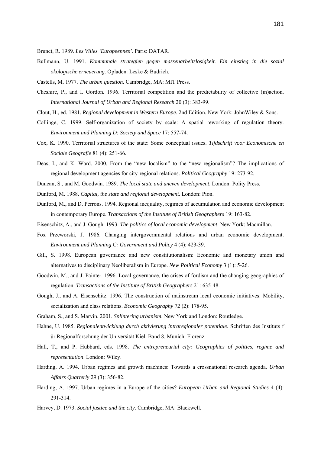Brunet, R. 1989. *Les Villes 'Europeennes'*. Paris: DATAR.

- Bullmann, U. 1991. *Kommunale strategien gegen massenarbeitslosigkeit. Ein einstieg in die sozial ökologische erneuerung*. Opladen: Leske & Budrich.
- Castells, M. 1977. *The urban question*. Cambridge, MA: MIT Press.
- Cheshire, P., and I. Gordon. 1996. Territorial competition and the predictability of collective (in)action. *International Journal of Urban and Regional Research* 20 (3): 383-99.
- Clout, H., ed. 1981. *Regional development in Western Europe*. 2nd Edition. New York: JohnWiley & Sons.
- Collinge, C. 1999. Self-organization of society by scale: A spatial reworking of regulation theory. *Environment and Planning D: Society and Space* 17: 557-74.
- Cox, K. 1990. Territorial structures of the state: Some conceptual issues. *Tijdschrift voor Economische en Sociale Geografie* 81 (4): 251-66.
- Deas, I., and K. Ward. 2000. From the "new localism" to the "new regionalism"? The implications of regional development agencies for city-regional relations. *Political Geography* 19: 273-92.
- Duncan, S., and M. Goodwin. 1989. *The local state and uneven development*. London: Polity Press.
- Dunford, M. 1988. *Capital, the state and regional development*. London: Pion.
- Dunford, M., and D. Perrons. 1994. Regional inequality, regimes of accumulation and economic development in contemporary Europe. *Transactions of the Institute of British Geographers* 19: 163-82.
- Eisenschitz, A., and J. Gough. 1993. *The politics of local economic development*. New York: Macmillan.
- Fox Przeworski, J. 1986. Changing intergovernmental relations and urban economic development. *Environment and Planning C: Government and Policy* 4 (4): 423-39.
- Gill, S. 1998. European governance and new constitutionalism: Economic and monetary union and alternatives to disciplinary Neoliberalism in Europe. *New Political Economy* 3 (1): 5-26.
- Goodwin, M., and J. Painter. 1996. Local governance, the crises of fordism and the changing geographies of regulation. *Transactions of the Institute of British Geographers* 21: 635-48.
- Gough, J., and A. Eisenschitz. 1996. The construction of mainstream local economic initiatives: Mobility, socialization and class relations. *Economic Geography* 72 (2): 178-95.
- Graham, S., and S. Marvin. 2001. *Splintering urbanism*. New York and London: Routledge.
- Hahne, U. 1985. *Regionalentwicklung durch aktivierung intraregionaler potentiale*. Schriften des Instituts f ür Regionalforschung der Universität Kiel. Band 8. Munich: Florenz.
- Hall, T., and P. Hubbard, eds. 1998. *The entrepreneurial city: Geographies of politics, regime and representation*. London: Wiley.
- Harding, A. 1994. Urban regimes and growth machines: Towards a crossnational research agenda. *Urban Affairs Quarterly* 29 (3): 356-82.
- Harding, A. 1997. Urban regimes in a Europe of the cities? *European Urban and Regional Studies* 4 (4): 291-314.
- Harvey, D. 1973. *Social justice and the city*. Cambridge, MA: Blackwell.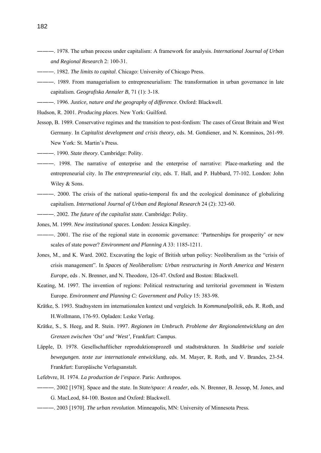- ―――. 1978. The urban process under capitalism: A framework for analysis. *International Journal of Urban and Regional Research* 2: 100-31.
- ―――. 1982. *The limits to capital*. Chicago: University of Chicago Press.
- ―――. 1989. From managerialism to entrepreneurialism: The transformation in urban governance in late capitalism. *Geografiska Annaler B*, 71 (1): 3-18.
- ―――. 1996. *Justice, nature and the geography of difference*. Oxford: Blackwell.
- Hudson, R. 2001. *Producing places*. New York: Guilford.
- Jessop, B. 1989. Conservative regimes and the transition to post-fordism: The cases of Great Britain and West Germany. In *Capitalist development and crisis theory*, eds. M. Gottdiener, and N. Komninos, 261-99. New York: St. Martin's Press.
- ―――. 1990. *State theory*. Cambridge: Polity.
- ―――. 1998. The narrative of enterprise and the enterprise of narrative: Place-marketing and the entrepreneurial city. In *The entrepreneurial city*, eds. T. Hall, and P. Hubbard, 77-102. London: John Wiley & Sons.
- ―――. 2000. The crisis of the national spatio-temporal fix and the ecological dominance of globalizing capitalism. *International Journal of Urban and Regional Research* 24 (2): 323-60.
- ―――. 2002. *The future of the capitalist state*. Cambridge: Polity.
- Jones, M. 1999. *New institutional spaces*. London: Jessica Kingsley.
- ―――. 2001. The rise of the regional state in economic governance: 'Partnerships for prosperity' or new scales of state power? *Environment and Planning A* 33: 1185-1211.
- Jones, M., and K. Ward. 2002. Excavating the logic of British urban policy: Neoliberalism as the "crisis of crisis management". In *Spaces of Neoliberalism: Urban restructuring in North America and Western Europe*, eds . N. Brenner, and N. Theodore, 126-47. Oxford and Boston: Blackwell.
- Keating, M. 1997. The invention of regions: Political restructuring and territorial government in Western Europe. *Environment and Planning C: Government and Policy* 15: 383-98.
- Krätke, S. 1993. Stadtsystem im internationalen kontext und vergleich. In *Kommunalpolitik*, eds. R. Roth, and H.Wollmann, 176-93. Opladen: Leske Verlag.
- Krätke, S., S. Heeg, and R. Stein. 1997. *Regionen im Umbruch. Probleme der Regionalentwicklung an den Grenzen zwischen 'Ost' und 'West'*, Frankfurt: Campus.
- Läpple, D. 1978. Gesellschaftlicher reproduktionsprozeß und stadtstrukturen. In *Stadtkrise und soziale bewegungen. texte zur internationale entwicklung*, eds. M. Mayer, R. Roth, and V. Brandes, 23-54. Frankfurt: Europäische Verlagsanstalt.
- Lefebvre, H. 1974. *La production de l'espace*. Paris: Anthropos.
- ―――. 2002 [1978]. Space and the state. In *State/space: A reader*, eds. N. Brenner, B. Jessop, M. Jones, and G. MacLeod, 84-100. Boston and Oxford: Blackwell.
- ―――. 2003 [1970]. *The urban revolution*. Minneapolis, MN: University of Minnesota Press.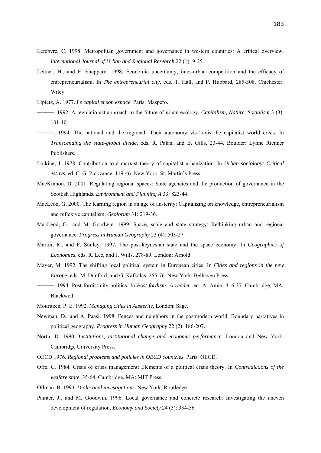- Lefebvre, C. 1998. Metropolitan government and governance in western countries: A critical overview. *International Journal of Urban and Regional Research* 22 (1): 9-25.
- Leitner, H., and E. Sheppard. 1998. Economic uncertainty, inter-urban competition and the efficacy of entrepreneurialism. In *The entrepreneurial city*, eds. T. Hall, and P. Hubbard, 285-308. Chichester: Wiley.
- Lipietz, A. 1977. *Le capital et son espace*. Paris: Maspero.
- ―――. 1992. A regulationist approach to the future of urban ecology. *Capitalism, Nature, Socialism* 3 (3): 101-10.
- ―――. 1994. The national and the regional: Their autonomy vis-`a-vis the capitalist world crisis. In *Transcending the state-global divide*, eds. R. Palan, and B. Gills, 23-44. Boulder: Lynne Rienner Publishers.
- Lojkine, J. 1978. Contribution to a marxist theory of capitalist urbanization. In *Urban sociology: Critical essays*, ed. C. G. Pickvance, 119-46. New York: St. Martin's Press.
- MacKinnon, D. 2001. Regulating regional spaces: State agencies and the production of governance in the Scottish Highlands. *Environment and Planning A* 33: 823-44.
- MacLeod, G. 2000. The learning region in an age of austerity: Capitalizing on knowledge, entrepreneurialism and reflexive capitalism. *Geoforum* 31: 219-36.
- MacLeod, G., and M. Goodwin. 1999. Space, scale and state strategy: Rethinking urban and regional governance. *Progress in Human Geography* 23 (4): 503-27.
- Martin, R., and P. Sunley. 1997. The post-keynesian state and the space economy. In *Geographies of Economies*, eds. R. Lee, and J. Wills, 278-89. London: Arnold.
- Mayer, M. 1992. The shifting local political system in European cities. In *Cities and regions in the new Europe*, eds. M. Dunford, and G. Kafkalas, 255-76. New York: Belhaven Press.
- ―――. 1994. Post-fordist city politics. In *Post-fordism: A reader*, ed. A. Amin, 316-37. Cambridge, MA: Blackwell.
- Mouritzen, P. E. 1992. *Managing cities in Austerity*, London: Sage.
- Newman, D., and A. Paasi. 1998. Fences and neighbors in the postmodern world: Boundary narratives in political geography. *Progress in Human Geography* 22 (2): 186-207.
- North, D. 1990. *Institutions, institutional change and economic performance*. London and New York: Cambridge University Press.
- OECD 1976. *Regional problems and policies in OECD countries*. Paris: OECD.
- Offe, C. 1984. Crisis of crisis management: Elements of a political crisis theory. In *Contradictions of the welfare state*, 35-64. Cambridge, MA: MIT Press.
- Ollman, B. 1993. *Dialectical investigations*. New York: Routledge.
- Painter, J., and M. Goodwin. 1996. Local governance and concrete research: Investigating the uneven development of regulation. *Economy and Society* 24 (3): 334-56.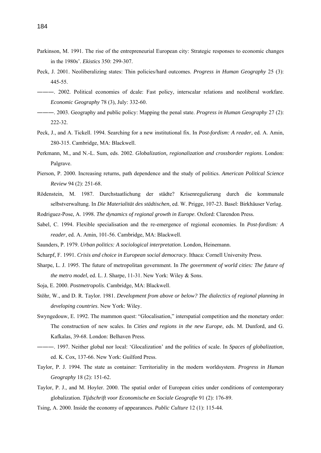- Parkinson, M. 1991. The rise of the entrepreneurial European city: Strategic responses to economic changes in the 1980s'. *Ekistics* 350: 299-307.
- Peck, J. 2001. Neoliberalizing states: Thin policies/hard outcomes. *Progress in Human Geography* 25 (3): 445-55.
- ―――. 2002. Political economies of dcale: Fast policy, interscalar relations and neoliberal workfare. *Economic Geography* 78 (3), July: 332-60.
- ―――. 2003. Geography and public policy: Mapping the penal state. *Progress in Human Geography* 27 (2): 222-32.
- Peck, J., and A. Tickell. 1994. Searching for a new institutional fix. In *Post-fordism: A reader*, ed. A. Amin, 280-315. Cambridge, MA: Blackwell.
- Perkmann, M., and N.-L. Sum, eds. 2002. *Globalization, regionalization and crossborder regions*. London: Palgrave.
- Pierson, P. 2000. Increasing returns, path dependence and the study of politics. *American Political Science Review* 94 (2): 251-68.
- Rödenstein, M. 1987. Durchstaatlichung der städte? Krisenregulierung durch die kommunale selbstverwaltung. In *Die Materialität des städtischen*, ed. W. Prigge, 107-23. Basel: Birkhäuser Verlag.
- Rodriguez-Pose, A. 1998. *The dynamics of regional growth in Europe*. Oxford: Clarendon Press.
- Sabel, C. 1994. Flexible specialisation and the re-emergence of regional economies. In *Post-fordism: A reader*, ed. A. Amin, 101-56. Cambridge, MA: Blackwell.
- Saunders, P. 1979. *Urban politics: A sociological interpretation*. London, Heinemann.
- Scharpf, F. 1991. *Crisis and choice in European social democracy*. Ithaca: Cornell University Press.
- Sharpe, L. J. 1995. The future of metropolitan government. In *The government of world cities: The future of the metro model*, ed. L. J. Sharpe, 11-31. New York: Wiley & Sons.
- Soja, E. 2000. *Postmetropolis*. Cambridge, MA: Blackwell.
- Stöhr, W., and D. R. Taylor. 1981. *Development from above or below? The dialectics of regional planning in developing countries*. New York: Wiley.
- Swyngedouw, E. 1992. The mammon quest: "Glocalisation," interspatial competition and the monetary order: The construction of new scales. In *Cities and regions in the new Europe*, eds. M. Dunford, and G. Kafkalas, 39-68. London: Belhaven Press.
- ―――. 1997. Neither global nor local: 'Glocalization' and the politics of scale. In *Spaces of globalization*, ed. K. Cox, 137-66. New York: Guilford Press.
- Taylor, P. J. 1994. The state as container: Territoriality in the modern worldsystem. *Progress in Human Geography* 18 (2): 151-62.
- Taylor, P. J., and M. Hoyler. 2000. The spatial order of European cities under conditions of contemporary globalization. *Tijdschrift voor Economische en Sociale Geografie* 91 (2): 176-89.
- Tsing, A. 2000. Inside the economy of appearances. *Public Culture* 12 (1): 115-44.